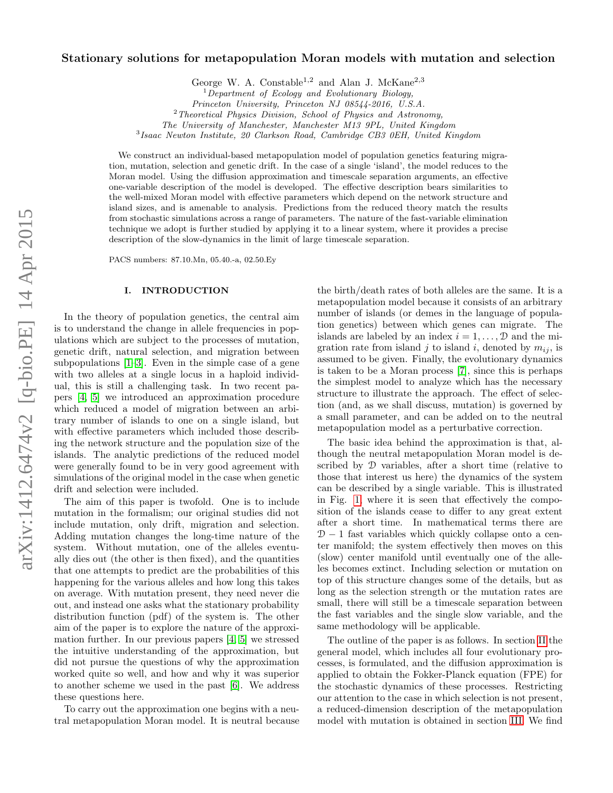# arXiv:1412.6474v2 [q-bio.PE] 14 Apr 2015 arXiv:1412.6474v2 [q-bio.PE] 14 Apr 2015

# Stationary solutions for metapopulation Moran models with mutation and selection

George W. A. Constable<sup>1,2</sup> and Alan J. McKane<sup>2,3</sup>

 $2$ Theoretical Physics Division, School of Physics and Astronomy,

The University of Manchester, Manchester M13 9PL, United Kingdom

<sup>3</sup> Isaac Newton Institute, 20 Clarkson Road, Cambridge CB3 0EH, United Kingdom

We construct an individual-based metapopulation model of population genetics featuring migration, mutation, selection and genetic drift. In the case of a single 'island', the model reduces to the Moran model. Using the diffusion approximation and timescale separation arguments, an effective one-variable description of the model is developed. The effective description bears similarities to the well-mixed Moran model with effective parameters which depend on the network structure and island sizes, and is amenable to analysis. Predictions from the reduced theory match the results from stochastic simulations across a range of parameters. The nature of the fast-variable elimination technique we adopt is further studied by applying it to a linear system, where it provides a precise description of the slow-dynamics in the limit of large timescale separation.

PACS numbers: 87.10.Mn, 05.40.-a, 02.50.Ey

### I. INTRODUCTION

In the theory of population genetics, the central aim is to understand the change in allele frequencies in populations which are subject to the processes of mutation, genetic drift, natural selection, and migration between subpopulations [\[1–](#page-15-0)[3\]](#page-15-1). Even in the simple case of a gene with two alleles at a single locus in a haploid individual, this is still a challenging task. In two recent papers [\[4,](#page-15-2) [5\]](#page-15-3) we introduced an approximation procedure which reduced a model of migration between an arbitrary number of islands to one on a single island, but with effective parameters which included those describing the network structure and the population size of the islands. The analytic predictions of the reduced model were generally found to be in very good agreement with simulations of the original model in the case when genetic drift and selection were included.

The aim of this paper is twofold. One is to include mutation in the formalism; our original studies did not include mutation, only drift, migration and selection. Adding mutation changes the long-time nature of the system. Without mutation, one of the alleles eventually dies out (the other is then fixed), and the quantities that one attempts to predict are the probabilities of this happening for the various alleles and how long this takes on average. With mutation present, they need never die out, and instead one asks what the stationary probability distribution function (pdf) of the system is. The other aim of the paper is to explore the nature of the approximation further. In our previous papers [\[4,](#page-15-2) [5\]](#page-15-3) we stressed the intuitive understanding of the approximation, but did not pursue the questions of why the approximation worked quite so well, and how and why it was superior to another scheme we used in the past [\[6\]](#page-15-4). We address these questions here.

To carry out the approximation one begins with a neutral metapopulation Moran model. It is neutral because

the birth/death rates of both alleles are the same. It is a metapopulation model because it consists of an arbitrary number of islands (or demes in the language of population genetics) between which genes can migrate. The islands are labeled by an index  $i = 1, \ldots, \mathcal{D}$  and the migration rate from island j to island i, denoted by  $m_{ij}$ , is assumed to be given. Finally, the evolutionary dynamics is taken to be a Moran process [\[7\]](#page-15-5), since this is perhaps the simplest model to analyze which has the necessary structure to illustrate the approach. The effect of selection (and, as we shall discuss, mutation) is governed by a small parameter, and can be added on to the neutral metapopulation model as a perturbative correction.

The basic idea behind the approximation is that, although the neutral metapopulation Moran model is described by D variables, after a short time (relative to those that interest us here) the dynamics of the system can be described by a single variable. This is illustrated in Fig. [1,](#page-1-0) where it is seen that effectively the composition of the islands cease to differ to any great extent after a short time. In mathematical terms there are  $D-1$  fast variables which quickly collapse onto a center manifold; the system effectively then moves on this (slow) center manifold until eventually one of the alleles becomes extinct. Including selection or mutation on top of this structure changes some of the details, but as long as the selection strength or the mutation rates are small, there will still be a timescale separation between the fast variables and the single slow variable, and the same methodology will be applicable.

The outline of the paper is as follows. In section [II](#page-1-1) the general model, which includes all four evolutionary processes, is formulated, and the diffusion approximation is applied to obtain the Fokker-Planck equation (FPE) for the stochastic dynamics of these processes. Restricting our attention to the case in which selection is not present, a reduced-dimension description of the metapopulation model with mutation is obtained in section [III.](#page-3-0) We find

 ${}^{1}$ Department of Ecology and Evolutionary Biology,

Princeton University, Princeton NJ 08544-2016, U.S.A.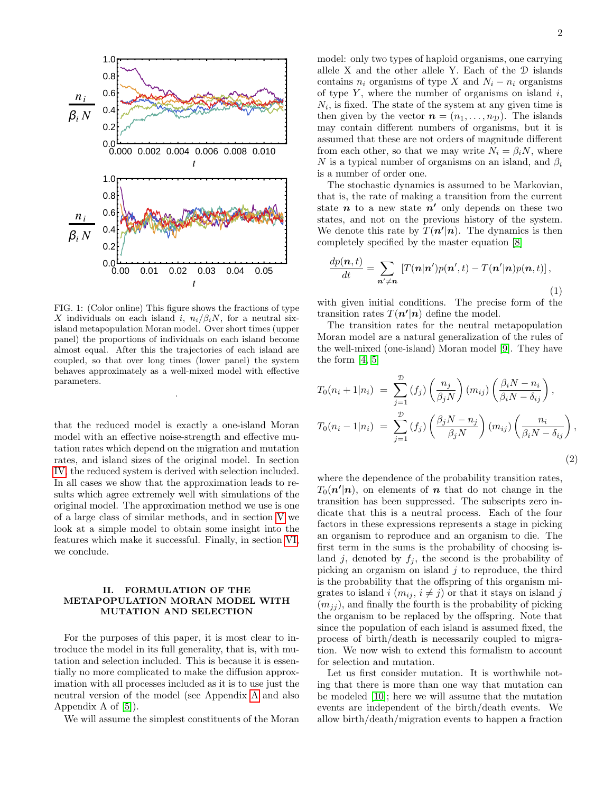

<span id="page-1-0"></span>FIG. 1: (Color online) This figure shows the fractions of type X individuals on each island i,  $n_i/\beta_i N$ , for a neutral sixisland metapopulation Moran model. Over short times (upper panel) the proportions of individuals on each island become almost equal. After this the trajectories of each island are coupled, so that over long times (lower panel) the system behaves approximately as a well-mixed model with effective parameters.

.

that the reduced model is exactly a one-island Moran model with an effective noise-strength and effective mutation rates which depend on the migration and mutation rates, and island sizes of the original model. In section [IV,](#page-6-0) the reduced system is derived with selection included. In all cases we show that the approximation leads to results which agree extremely well with simulations of the original model. The approximation method we use is one of a large class of similar methods, and in section [V](#page-8-0) we look at a simple model to obtain some insight into the features which make it successful. Finally, in section [VI,](#page-10-0) we conclude.

### <span id="page-1-1"></span>II. FORMULATION OF THE METAPOPULATION MORAN MODEL WITH MUTATION AND SELECTION

For the purposes of this paper, it is most clear to introduce the model in its full generality, that is, with mutation and selection included. This is because it is essentially no more complicated to make the diffusion approximation with all processes included as it is to use just the neutral version of the model (see Appendix [A](#page-11-0) and also Appendix A of [\[5\]](#page-15-3)).

We will assume the simplest constituents of the Moran

model: only two types of haploid organisms, one carrying allele X and the other allele Y. Each of the D islands contains  $n_i$  organisms of type X and  $N_i - n_i$  organisms of type  $Y$ , where the number of organisms on island  $i$ ,  $N_i$ , is fixed. The state of the system at any given time is then given by the vector  $\mathbf{n} = (n_1, \ldots, n_{\mathcal{D}})$ . The islands may contain different numbers of organisms, but it is assumed that these are not orders of magnitude different from each other, so that we may write  $N_i = \beta_i N$ , where N is a typical number of organisms on an island, and  $\beta_i$ is a number of order one.

The stochastic dynamics is assumed to be Markovian, that is, the rate of making a transition from the current state  $n$  to a new state  $n'$  only depends on these two states, and not on the previous history of the system. We denote this rate by  $T(n'|n)$ . The dynamics is then completely specified by the master equation [\[8\]](#page-15-6)

<span id="page-1-3"></span>
$$
\frac{dp(\boldsymbol{n},t)}{dt} = \sum_{\boldsymbol{n}' \neq \boldsymbol{n}} \left[ T(\boldsymbol{n}|\boldsymbol{n}')p(\boldsymbol{n}',t) - T(\boldsymbol{n}'|\boldsymbol{n})p(\boldsymbol{n},t) \right],\tag{1}
$$

with given initial conditions. The precise form of the transition rates  $T(n'|n)$  define the model.

The transition rates for the neutral metapopulation Moran model are a natural generalization of the rules of the well-mixed (one-island) Moran model [\[9\]](#page-15-7). They have the form  $[4, 5]$  $[4, 5]$ 

<span id="page-1-2"></span>
$$
T_0(n_i + 1|n_i) = \sum_{j=1}^{\mathcal{D}} (f_j) \left(\frac{n_j}{\beta_j N}\right) (m_{ij}) \left(\frac{\beta_i N - n_i}{\beta_i N - \delta_{ij}}\right),
$$
  

$$
T_0(n_i - 1|n_i) = \sum_{j=1}^{\mathcal{D}} (f_j) \left(\frac{\beta_j N - n_j}{\beta_j N}\right) (m_{ij}) \left(\frac{n_i}{\beta_i N - \delta_{ij}}\right),
$$
  
(2)

where the dependence of the probability transition rates,  $T_0(n'|n)$ , on elements of n that do not change in the transition has been suppressed. The subscripts zero indicate that this is a neutral process. Each of the four factors in these expressions represents a stage in picking an organism to reproduce and an organism to die. The first term in the sums is the probability of choosing island j, denoted by  $f_j$ , the second is the probability of picking an organism on island  $j$  to reproduce, the third is the probability that the offspring of this organism migrates to island i  $(m_{ij}, i \neq j)$  or that it stays on island j  $(m_{ij})$ , and finally the fourth is the probability of picking the organism to be replaced by the offspring. Note that since the population of each island is assumed fixed, the process of birth/death is necessarily coupled to migration. We now wish to extend this formalism to account for selection and mutation.

Let us first consider mutation. It is worthwhile noting that there is more than one way that mutation can be modeled [\[10\]](#page-15-8); here we will assume that the mutation events are independent of the birth/death events. We allow birth/death/migration events to happen a fraction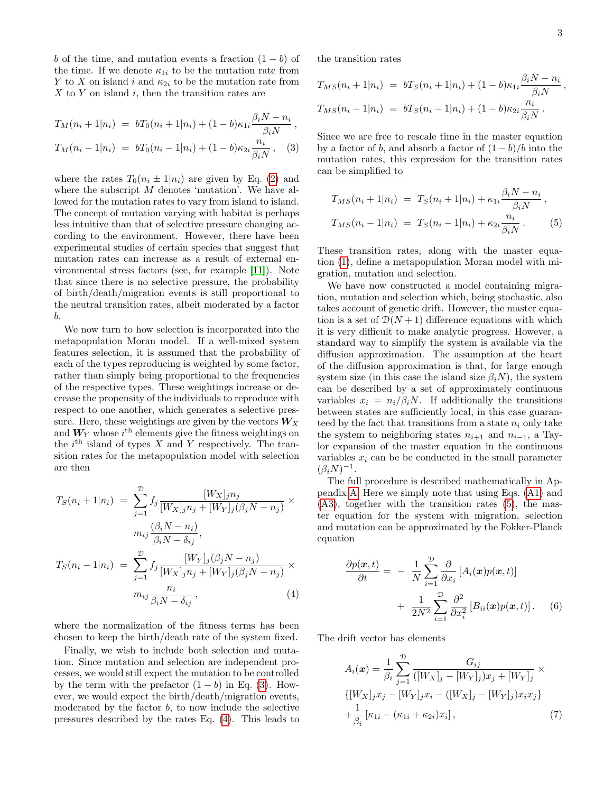b of the time, and mutation events a fraction  $(1 - b)$  of the time. If we denote  $\kappa_{1i}$  to be the mutation rate from Y to X on island i and  $\kappa_{2i}$  to be the mutation rate from  $X$  to  $Y$  on island  $i$ , then the transition rates are

<span id="page-2-0"></span>
$$
T_M(n_i + 1|n_i) = bT_0(n_i + 1|n_i) + (1 - b)\kappa_{1i} \frac{\beta_i N - n_i}{\beta_i N},
$$
  

$$
T_M(n_i - 1|n_i) = bT_0(n_i - 1|n_i) + (1 - b)\kappa_{2i} \frac{n_i}{\beta_i N},
$$
 (3)

where the rates  $T_0(n_i \pm 1|n_i)$  are given by Eq. [\(2\)](#page-1-2) and where the subscript M denotes 'mutation'. We have allowed for the mutation rates to vary from island to island. The concept of mutation varying with habitat is perhaps less intuitive than that of selective pressure changing according to the environment. However, there have been experimental studies of certain species that suggest that mutation rates can increase as a result of external environmental stress factors (see, for example [\[11\]](#page-15-9)). Note that since there is no selective pressure, the probability of birth/death/migration events is still proportional to the neutral transition rates, albeit moderated by a factor b.

We now turn to how selection is incorporated into the metapopulation Moran model. If a well-mixed system features selection, it is assumed that the probability of each of the types reproducing is weighted by some factor, rather than simply being proportional to the frequencies of the respective types. These weightings increase or decrease the propensity of the individuals to reproduce with respect to one another, which generates a selective pressure. Here, these weightings are given by the vectors  $W_X$ and  $W_Y$  whose  $i<sup>th</sup>$  elements give the fitness weightings on the  $i<sup>th</sup>$  island of types X and Y respectively. The transition rates for the metapopulation model with selection are then

<span id="page-2-1"></span>
$$
T_S(n_i + 1|n_i) = \sum_{j=1}^{\mathcal{D}} f_j \frac{[W_X]_j n_j}{[W_X]_j n_j + [W_Y]_j (\beta_j N - n_j)} \times
$$
  

$$
m_{ij} \frac{(\beta_i N - n_i)}{\beta_i N - \delta_{ij}},
$$
  

$$
T_S(n_i - 1|n_i) = \sum_{j=1}^{\mathcal{D}} f_j \frac{[W_Y]_j (\beta_j N - n_j)}{[W_X]_j n_j + [W_Y]_j (\beta_j N - n_j)} \times
$$
  

$$
m_{ij} \frac{n_i}{\beta_i N - \delta_{ij}},
$$
 (4)

where the normalization of the fitness terms has been chosen to keep the birth/death rate of the system fixed.

Finally, we wish to include both selection and mutation. Since mutation and selection are independent processes, we would still expect the mutation to be controlled by the term with the prefactor  $(1 - b)$  in Eq. [\(3\)](#page-2-0). However, we would expect the birth/death/migration events, moderated by the factor  $b$ , to now include the selective pressures described by the rates Eq. [\(4\)](#page-2-1). This leads to the transition rates

$$
T_{MS}(n_i + 1|n_i) = bT_S(n_i + 1|n_i) + (1 - b)\kappa_{1i} \frac{\beta_i N - n_i}{\beta_i N},
$$
  
\n
$$
T_{MS}(n_i - 1|n_i) = bT_S(n_i - 1|n_i) + (1 - b)\kappa_{2i} \frac{n_i}{\beta_i N}.
$$

Since we are free to rescale time in the master equation by a factor of b, and absorb a factor of  $(1 - b)/b$  into the mutation rates, this expression for the transition rates can be simplified to

<span id="page-2-2"></span>
$$
T_{MS}(n_i + 1|n_i) = T_S(n_i + 1|n_i) + \kappa_{1i} \frac{\beta_i N - n_i}{\beta_i N},
$$
  
\n
$$
T_{MS}(n_i - 1|n_i) = T_S(n_i - 1|n_i) + \kappa_{2i} \frac{n_i}{\beta_i N}.
$$
 (5)

These transition rates, along with the master equation [\(1\)](#page-1-3), define a metapopulation Moran model with migration, mutation and selection.

We have now constructed a model containing migration, mutation and selection which, being stochastic, also takes account of genetic drift. However, the master equation is a set of  $\mathcal{D}(N+1)$  difference equations with which it is very difficult to make analytic progress. However, a standard way to simplify the system is available via the diffusion approximation. The assumption at the heart of the diffusion approximation is that, for large enough system size (in this case the island size  $\beta_i(N)$ , the system can be described by a set of approximately continuous variables  $x_i = n_i/\beta_i N$ . If additionally the transitions between states are sufficiently local, in this case guaranteed by the fact that transitions from a state  $n_i$  only take the system to neighboring states  $n_{i+1}$  and  $n_{i-1}$ , a Taylor expansion of the master equation in the continuous variables  $x_i$  can be be conducted in the small parameter  $(\beta_i N)^{-1}.$ 

The full procedure is described mathematically in Appendix [A.](#page-11-0) Here we simply note that using Eqs. [\(A1\)](#page-11-1) and [\(A3\)](#page-11-2), together with the transition rates [\(5\)](#page-2-2), the master equation for the system with migration, selection and mutation can be approximated by the Fokker-Planck equation

<span id="page-2-3"></span>
$$
\frac{\partial p(\boldsymbol{x},t)}{\partial t} = -\frac{1}{N} \sum_{i=1}^{D} \frac{\partial}{\partial x_i} \left[ A_i(\boldsymbol{x}) p(\boldsymbol{x},t) \right] \n+ \frac{1}{2N^2} \sum_{i=1}^{D} \frac{\partial^2}{\partial x_i^2} \left[ B_{ii}(\boldsymbol{x}) p(\boldsymbol{x},t) \right].
$$
\n(6)

The drift vector has elements

<span id="page-2-4"></span>
$$
A_i(\boldsymbol{x}) = \frac{1}{\beta_i} \sum_{j=1}^{\mathcal{D}} \frac{G_{ij}}{([W_X]_j - [W_Y]_j) x_j + [W_Y]_j} \times \{ [W_X]_j x_j - [W_Y]_j x_i - ([W_X]_j - [W_Y]_j) x_i x_j \} + \frac{1}{\beta_i} [\kappa_{1i} - (\kappa_{1i} + \kappa_{2i}) x_i], \tag{7}
$$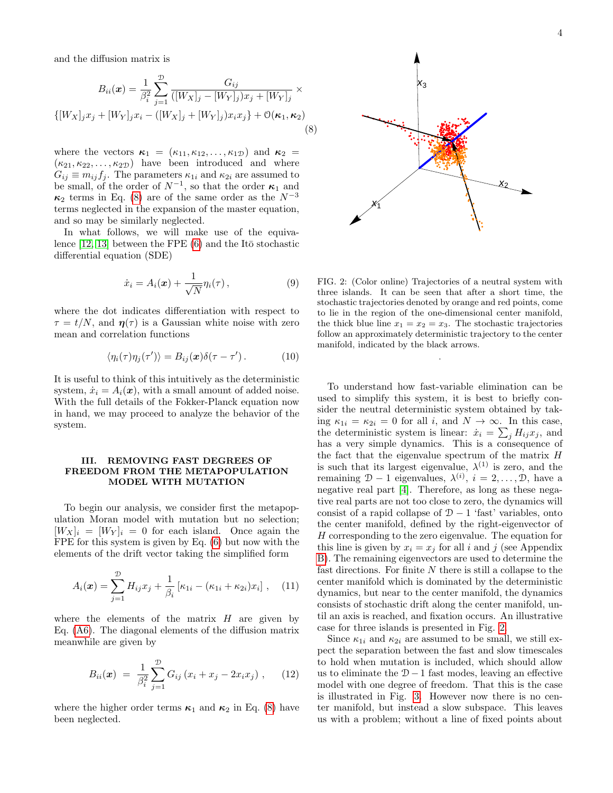and the diffusion matrix is

<span id="page-3-1"></span>
$$
B_{ii}(\boldsymbol{x}) = \frac{1}{\beta_i^2} \sum_{j=1}^{\mathcal{D}} \frac{G_{ij}}{([W_X]_j - [W_Y]_j) x_j + [W_Y]_j} \times
$$
  
{ $[W_X]_j x_j + [W_Y]_j x_i - ([W_X]_j + [W_Y]_j) x_i x_j + \mathcal{O}(\kappa_1, \kappa_2)$ \n(8)

where the vectors  $\kappa_1 = (\kappa_{11}, \kappa_{12}, \ldots, \kappa_{1D})$  and  $\kappa_2 =$  $(\kappa_{21}, \kappa_{22}, \ldots, \kappa_{2D})$  have been introduced and where  $G_{ij} \equiv m_{ij} f_j$ . The parameters  $\kappa_{1i}$  and  $\kappa_{2i}$  are assumed to be small, of the order of  $N^{-1}$ , so that the order  $\kappa_1$  and  $\kappa_2$  terms in Eq. [\(8\)](#page-3-1) are of the same order as the  $N^{-3}$ terms neglected in the expansion of the master equation, and so may be similarly neglected.

In what follows, we will make use of the equivalence  $[12, 13]$  $[12, 13]$  between the FPE  $(6)$  and the Itō stochastic differential equation (SDE)

<span id="page-3-3"></span>
$$
\dot{x}_i = A_i(\boldsymbol{x}) + \frac{1}{\sqrt{N}} \eta_i(\tau) , \qquad (9)
$$

where the dot indicates differentiation with respect to  $\tau = t/N$ , and  $\eta(\tau)$  is a Gaussian white noise with zero mean and correlation functions

$$
\langle \eta_i(\tau) \eta_j(\tau') \rangle = B_{ij}(\boldsymbol{x}) \delta(\tau - \tau'). \tag{10}
$$

It is useful to think of this intuitively as the deterministic system,  $\dot{x}_i = A_i(\boldsymbol{x})$ , with a small amount of added noise. With the full details of the Fokker-Planck equation now in hand, we may proceed to analyze the behavior of the system.

### <span id="page-3-0"></span>III. REMOVING FAST DEGREES OF FREEDOM FROM THE METAPOPULATION MODEL WITH MUTATION

To begin our analysis, we consider first the metapopulation Moran model with mutation but no selection;  $[W_X]_i = [W_Y]_i = 0$  for each island. Once again the FPE for this system is given by Eq. [\(6\)](#page-2-3) but now with the elements of the drift vector taking the simplified form

<span id="page-3-4"></span>
$$
A_i(\boldsymbol{x}) = \sum_{j=1}^{\mathcal{D}} H_{ij} x_j + \frac{1}{\beta_i} \left[ \kappa_{1i} - (\kappa_{1i} + \kappa_{2i}) x_i \right], \quad (11)
$$

where the elements of the matrix  $H$  are given by Eq. [\(A6\)](#page-12-0). The diagonal elements of the diffusion matrix meanwhile are given by

<span id="page-3-5"></span>
$$
B_{ii}(\boldsymbol{x}) = \frac{1}{\beta_i^2} \sum_{j=1}^{D} G_{ij} (x_i + x_j - 2x_i x_j), \qquad (12)
$$

where the higher order terms  $\kappa_1$  and  $\kappa_2$  in Eq. [\(8\)](#page-3-1) have been neglected.



<span id="page-3-2"></span>FIG. 2: (Color online) Trajectories of a neutral system with three islands. It can be seen that after a short time, the stochastic trajectories denoted by orange and red points, come to lie in the region of the one-dimensional center manifold, the thick blue line  $x_1 = x_2 = x_3$ . The stochastic trajectories follow an approximately deterministic trajectory to the center manifold, indicated by the black arrows.

.

To understand how fast-variable elimination can be used to simplify this system, it is best to briefly consider the neutral deterministic system obtained by taking  $\kappa_{1i} = \kappa_{2i} = 0$  for all i, and  $N \to \infty$ . In this case, the deterministic system is linear:  $\dot{x}_i = \sum_j H_{ij} x_j$ , and has a very simple dynamics. This is a consequence of the fact that the eigenvalue spectrum of the matrix  $H$ is such that its largest eigenvalue,  $\lambda^{(1)}$  is zero, and the remaining  $\mathcal{D} - 1$  eigenvalues,  $\lambda^{(i)}$ ,  $i = 2, \ldots, \mathcal{D}$ , have a negative real part [\[4\]](#page-15-2). Therefore, as long as these negative real parts are not too close to zero, the dynamics will consist of a rapid collapse of  $D - 1$  'fast' variables, onto the center manifold, defined by the right-eigenvector of H corresponding to the zero eigenvalue. The equation for this line is given by  $x_i = x_j$  for all i and j (see Appendix [B\)](#page-12-1). The remaining eigenvectors are used to determine the fast directions. For finite  $N$  there is still a collapse to the center manifold which is dominated by the deterministic dynamics, but near to the center manifold, the dynamics consists of stochastic drift along the center manifold, until an axis is reached, and fixation occurs. An illustrative case for three islands is presented in Fig. [2.](#page-3-2)

Since  $\kappa_{1i}$  and  $\kappa_{2i}$  are assumed to be small, we still expect the separation between the fast and slow timescales to hold when mutation is included, which should allow us to eliminate the  $D-1$  fast modes, leaving an effective model with one degree of freedom. That this is the case is illustrated in Fig. [3.](#page-4-0) However now there is no center manifold, but instead a slow subspace. This leaves us with a problem; without a line of fixed points about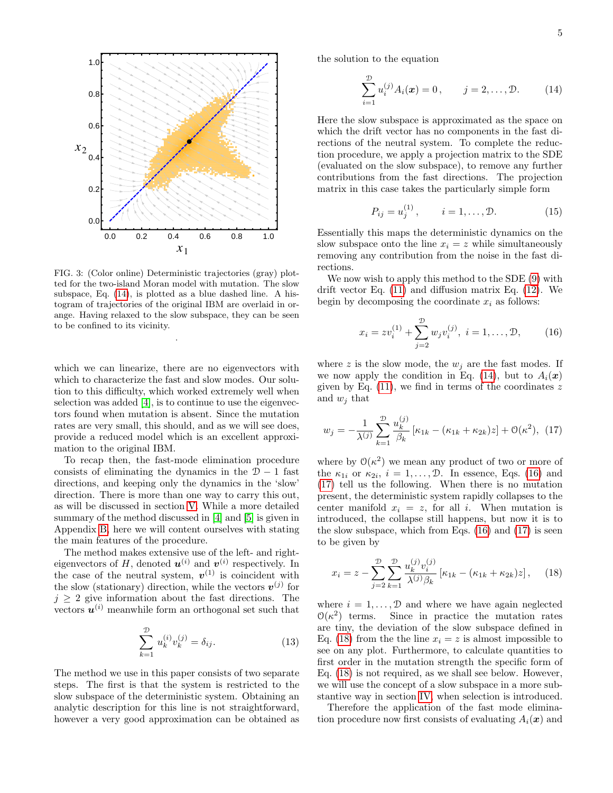

<span id="page-4-0"></span>FIG. 3: (Color online) Deterministic trajectories (gray) plotted for the two-island Moran model with mutation. The slow subspace, Eq. [\(14\)](#page-4-1), is plotted as a blue dashed line. A histogram of trajectories of the original IBM are overlaid in orange. Having relaxed to the slow subspace, they can be seen to be confined to its vicinity.

.

which we can linearize, there are no eigenvectors with which to characterize the fast and slow modes. Our solution to this difficulty, which worked extremely well when selection was added [\[4\]](#page-15-2), is to continue to use the eigenvectors found when mutation is absent. Since the mutation rates are very small, this should, and as we will see does, provide a reduced model which is an excellent approximation to the original IBM.

To recap then, the fast-mode elimination procedure consists of eliminating the dynamics in the  $D-1$  fast directions, and keeping only the dynamics in the 'slow' direction. There is more than one way to carry this out, as will be discussed in section [V.](#page-8-0) While a more detailed summary of the method discussed in [\[4\]](#page-15-2) and [\[5\]](#page-15-3) is given in Appendix [B,](#page-12-1) here we will content ourselves with stating the main features of the procedure.

The method makes extensive use of the left- and righteigenvectors of H, denoted  $\mathbf{u}^{(i)}$  and  $\mathbf{v}^{(i)}$  respectively. In the case of the neutral system,  $v^{(1)}$  is coincident with the slow (stationary) direction, while the vectors  $v^{(j)}$  for  $j \geq 2$  give information about the fast directions. The vectors  $u^{(i)}$  meanwhile form an orthogonal set such that

<span id="page-4-6"></span>
$$
\sum_{k=1}^{\mathcal{D}} u_k^{(i)} v_k^{(j)} = \delta_{ij}.
$$
 (13)

The method we use in this paper consists of two separate steps. The first is that the system is restricted to the slow subspace of the deterministic system. Obtaining an analytic description for this line is not straightforward, however a very good approximation can be obtained as

the solution to the equation

<span id="page-4-1"></span>
$$
\sum_{i=1}^{\mathcal{D}} u_i^{(j)} A_i(\boldsymbol{x}) = 0, \qquad j = 2, ..., \mathcal{D}.
$$
 (14)

Here the slow subspace is approximated as the space on which the drift vector has no components in the fast directions of the neutral system. To complete the reduction procedure, we apply a projection matrix to the SDE (evaluated on the slow subspace), to remove any further contributions from the fast directions. The projection matrix in this case takes the particularly simple form

<span id="page-4-5"></span>
$$
P_{ij} = u_j^{(1)}, \t i = 1, ..., \mathcal{D}.
$$
 (15)

Essentially this maps the deterministic dynamics on the slow subspace onto the line  $x_i = z$  while simultaneously removing any contribution from the noise in the fast directions.

We now wish to apply this method to the SDE [\(9\)](#page-3-3) with drift vector Eq. [\(11\)](#page-3-4) and diffusion matrix Eq. [\(12\)](#page-3-5). We begin by decomposing the coordinate  $x_i$  as follows:

<span id="page-4-2"></span>
$$
x_i = zv_i^{(1)} + \sum_{j=2}^{\mathcal{D}} w_j v_i^{(j)}, \ i = 1, \dots, \mathcal{D}, \qquad (16)
$$

where z is the slow mode, the  $w_i$  are the fast modes. If we now apply the condition in Eq. [\(14\)](#page-4-1), but to  $A_i(\boldsymbol{x})$ given by Eq.  $(11)$ , we find in terms of the coordinates z and  $w_i$  that

<span id="page-4-3"></span>
$$
w_j = -\frac{1}{\lambda^{(j)}} \sum_{k=1}^{\infty} \frac{u_k^{(j)}}{\beta_k} \left[ \kappa_{1k} - (\kappa_{1k} + \kappa_{2k}) z \right] + \mathcal{O}(\kappa^2), \tag{17}
$$

where by  $\mathcal{O}(\kappa^2)$  we mean any product of two or more of the  $\kappa_{1i}$  or  $\kappa_{2i}$ ,  $i = 1, \ldots, \mathcal{D}$ . In essence, Eqs. [\(16\)](#page-4-2) and [\(17\)](#page-4-3) tell us the following. When there is no mutation present, the deterministic system rapidly collapses to the center manifold  $x_i = z$ , for all i. When mutation is introduced, the collapse still happens, but now it is to the slow subspace, which from Eqs. [\(16\)](#page-4-2) and [\(17\)](#page-4-3) is seen to be given by

<span id="page-4-4"></span>
$$
x_i = z - \sum_{j=2}^{\mathcal{D}} \sum_{k=1}^{\mathcal{D}} \frac{u_k^{(j)} v_i^{(j)}}{\lambda^{(j)} \beta_k} \left[ \kappa_{1k} - (\kappa_{1k} + \kappa_{2k}) z \right], \quad (18)
$$

where  $i = 1, \ldots, \mathcal{D}$  and where we have again neglected  $\mathcal{O}(\kappa^2)$ Since in practice the mutation rates are tiny, the deviation of the slow subspace defined in Eq. [\(18\)](#page-4-4) from the the line  $x_i = z$  is almost impossible to see on any plot. Furthermore, to calculate quantities to first order in the mutation strength the specific form of Eq. [\(18\)](#page-4-4) is not required, as we shall see below. However, we will use the concept of a slow subspace in a more substantive way in section [IV,](#page-6-0) when selection is introduced.

Therefore the application of the fast mode elimination procedure now first consists of evaluating  $A_i(x)$  and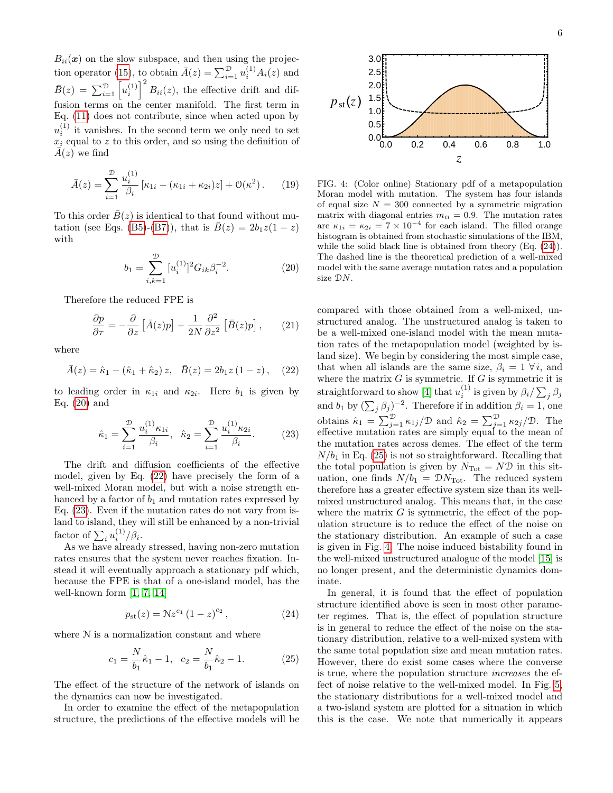$B_{ii}(\mathbf{x})$  on the slow subspace, and then using the projec-tion operator [\(15\)](#page-4-5), to obtain  $\bar{A}(z) = \sum_{i=1}^{D} u_i^{(1)} A_i(z)$  and  $\bar{B}(z) = \sum_{i=1}^{D} \left[u_i^{(1)}\right]^2 B_{ii}(z)$ , the effective drift and diffusion terms on the center manifold. The first term in Eq. [\(11\)](#page-3-4) does not contribute, since when acted upon by  $u_i^{(1)}$  it vanishes. In the second term we only need to set  $x_i$  equal to z to this order, and so using the definition of  $\overline{A}(z)$  we find

$$
\bar{A}(z) = \sum_{i=1}^{\mathcal{D}} \frac{u_i^{(1)}}{\beta_i} \left[ \kappa_{1i} - (\kappa_{1i} + \kappa_{2i})z \right] + \mathcal{O}(\kappa^2). \tag{19}
$$

To this order  $\overline{B}(z)$  is identical to that found without mu-tation (see Eqs. [\(B5\)](#page-12-2)-[\(B7\)](#page-12-3)), that is  $\bar{B}(z) = 2b_1z(1-z)$ with

<span id="page-5-0"></span>
$$
b_1 = \sum_{i,k=1}^{\mathcal{D}} [u_i^{(1)}]^2 G_{ik} \beta_i^{-2}.
$$
 (20)

Therefore the reduced FPE is

<span id="page-5-6"></span>
$$
\frac{\partial p}{\partial \tau} = -\frac{\partial}{\partial z} \left[ \bar{A}(z)p \right] + \frac{1}{2N} \frac{\partial^2}{\partial z^2} \left[ \bar{B}(z)p \right],\qquad(21)
$$

where

<span id="page-5-1"></span>
$$
\bar{A}(z) = \hat{\kappa}_1 - (\hat{\kappa}_1 + \hat{\kappa}_2) z, \quad \bar{B}(z) = 2b_1 z (1 - z), \quad (22)
$$

to leading order in  $\kappa_{1i}$  and  $\kappa_{2i}$ . Here  $b_1$  is given by Eq.  $(20)$  and

<span id="page-5-2"></span>
$$
\hat{\kappa}_1 = \sum_{i=1}^{\mathcal{D}} \frac{u_i^{(1)} \kappa_{1i}}{\beta_i}, \quad \hat{\kappa}_2 = \sum_{i=1}^{\mathcal{D}} \frac{u_i^{(1)} \kappa_{2i}}{\beta_i}.
$$
 (23)

The drift and diffusion coefficients of the effective model, given by Eq. [\(22\)](#page-5-1) have precisely the form of a well-mixed Moran model, but with a noise strength enhanced by a factor of  $b_1$  and mutation rates expressed by Eq. [\(23\)](#page-5-2). Even if the mutation rates do not vary from island to island, they will still be enhanced by a non-trivial factor of  $\sum_i u_i^{(1)}/\beta_i$ .

As we have already stressed, having non-zero mutation rates ensures that the system never reaches fixation. Instead it will eventually approach a stationary pdf which, because the FPE is that of a one-island model, has the well-known form  $[1, 7, 14]$  $[1, 7, 14]$  $[1, 7, 14]$ 

<span id="page-5-3"></span>
$$
p_{\rm st}(z) = N z^{c_1} (1 - z)^{c_2}, \qquad (24)
$$

where  $N$  is a normalization constant and where

<span id="page-5-4"></span>
$$
c_1 = \frac{N}{b_1}\hat{\kappa}_1 - 1, \quad c_2 = \frac{N}{b_1}\hat{\kappa}_2 - 1.
$$
 (25)

The effect of the structure of the network of islands on the dynamics can now be investigated.

In order to examine the effect of the metapopulation structure, the predictions of the effective models will be



<span id="page-5-5"></span>FIG. 4: (Color online) Stationary pdf of a metapopulation Moran model with mutation. The system has four islands of equal size  $N = 300$  connected by a symmetric migration matrix with diagonal entries  $m_{ii} = 0.9$ . The mutation rates are  $\kappa_{1i} = \kappa_{2i} = 7 \times 10^{-4}$  for each island. The filled orange histogram is obtained from stochastic simulations of the IBM, while the solid black line is obtained from theory (Eq. [\(24\)](#page-5-3)). The dashed line is the theoretical prediction of a well-mixed model with the same average mutation rates and a population size DN.

compared with those obtained from a well-mixed, unstructured analog. The unstructured analog is taken to be a well-mixed one-island model with the mean mutation rates of the metapopulation model (weighted by island size). We begin by considering the most simple case, that when all islands are the same size,  $\beta_i = 1 \ \forall i$ , and where the matrix  $G$  is symmetric. If  $G$  is symmetric it is straightforward to show [\[4\]](#page-15-2) that  $u_i^{(1)}$  is given by  $\beta_i / \sum_j \beta_j$ and  $b_1$  by  $(\sum_j \beta_j)^{-2}$ . Therefore if in addition  $\beta_i = 1$ , one obtains  $\hat{\kappa}_1 = \sum_{j=1}^{\mathcal{D}} \kappa_{1j}/\mathcal{D}$  and  $\hat{\kappa}_2 = \sum_{j=1}^{\mathcal{D}} \kappa_{2j}/\mathcal{D}$ . The effective mutation rates are simply equal to the mean of the mutation rates across demes. The effect of the term  $N/b_1$  in Eq. [\(25\)](#page-5-4) is not so straightforward. Recalling that the total population is given by  $N_{\text{Tot}} = N \mathcal{D}$  in this situation, one finds  $N/b_1 = \mathcal{D}N_{\text{Tot}}$ . The reduced system therefore has a greater effective system size than its wellmixed unstructured analog. This means that, in the case where the matrix  $G$  is symmetric, the effect of the population structure is to reduce the effect of the noise on the stationary distribution. An example of such a case is given in Fig. [4.](#page-5-5) The noise induced bistability found in the well-mixed unstructured analogue of the model [\[15\]](#page-15-13) is no longer present, and the deterministic dynamics dominate.

In general, it is found that the effect of population structure identified above is seen in most other parameter regimes. That is, the effect of population structure is in general to reduce the effect of the noise on the stationary distribution, relative to a well-mixed system with the same total population size and mean mutation rates. However, there do exist some cases where the converse is true, where the population structure increases the effect of noise relative to the well-mixed model. In Fig. [5,](#page-6-1) the stationary distributions for a well-mixed model and a two-island system are plotted for a situation in which this is the case. We note that numerically it appears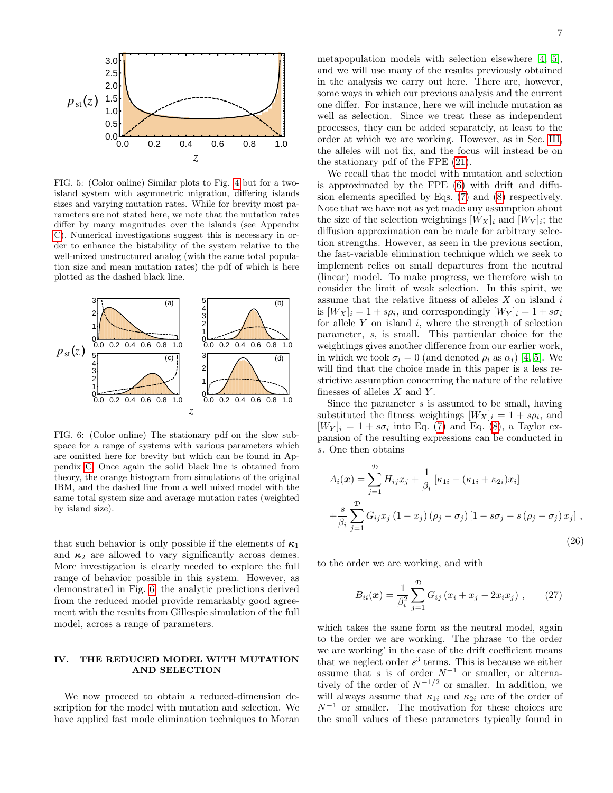

<span id="page-6-1"></span>FIG. 5: (Color online) Similar plots to Fig. [4](#page-5-5) but for a twoisland system with asymmetric migration, differing islands sizes and varying mutation rates. While for brevity most parameters are not stated here, we note that the mutation rates differ by many magnitudes over the islands (see Appendix [C\)](#page-13-0). Numerical investigations suggest this is necessary in order to enhance the bistability of the system relative to the well-mixed unstructured analog (with the same total population size and mean mutation rates) the pdf of which is here plotted as the dashed black line.



<span id="page-6-2"></span>FIG. 6: (Color online) The stationary pdf on the slow subspace for a range of systems with various parameters which are omitted here for brevity but which can be found in Appendix [C.](#page-13-0) Once again the solid black line is obtained from theory, the orange histogram from simulations of the original IBM, and the dashed line from a well mixed model with the same total system size and average mutation rates (weighted by island size).

that such behavior is only possible if the elements of  $\kappa_1$ and  $\kappa_2$  are allowed to vary significantly across demes. More investigation is clearly needed to explore the full range of behavior possible in this system. However, as demonstrated in Fig. [6,](#page-6-2) the analytic predictions derived from the reduced model provide remarkably good agreement with the results from Gillespie simulation of the full model, across a range of parameters.

### <span id="page-6-0"></span>IV. THE REDUCED MODEL WITH MUTATION AND SELECTION

We now proceed to obtain a reduced-dimension description for the model with mutation and selection. We have applied fast mode elimination techniques to Moran metapopulation models with selection elsewhere [\[4,](#page-15-2) [5\]](#page-15-3), and we will use many of the results previously obtained in the analysis we carry out here. There are, however, some ways in which our previous analysis and the current one differ. For instance, here we will include mutation as well as selection. Since we treat these as independent processes, they can be added separately, at least to the order at which we are working. However, as in Sec. [III,](#page-3-0) the alleles will not fix, and the focus will instead be on the stationary pdf of the FPE [\(21\)](#page-5-6).

We recall that the model with mutation and selection is approximated by the FPE [\(6\)](#page-2-3) with drift and diffusion elements specified by Eqs. [\(7\)](#page-2-4) and [\(8\)](#page-3-1) respectively. Note that we have not as yet made any assumption about the size of the selection weightings  $[W_X]_i$  and  $[W_Y]_i$ ; the diffusion approximation can be made for arbitrary selection strengths. However, as seen in the previous section, the fast-variable elimination technique which we seek to implement relies on small departures from the neutral (linear) model. To make progress, we therefore wish to consider the limit of weak selection. In this spirit, we assume that the relative fitness of alleles  $X$  on island  $i$ is  $[W_X]_i = 1 + s\rho_i$ , and correspondingly  $[W_Y]_i = 1 + s\sigma_i$ for allele  $Y$  on island  $i$ , where the strength of selection parameter, s, is small. This particular choice for the weightings gives another difference from our earlier work, in which we took  $\sigma_i = 0$  (and denoted  $\rho_i$  as  $\alpha_i$ ) [\[4,](#page-15-2) [5\]](#page-15-3). We will find that the choice made in this paper is a less restrictive assumption concerning the nature of the relative finesses of alleles  $X$  and  $Y$ .

Since the parameter  $s$  is assumed to be small, having substituted the fitness weightings  $[W_X]_i = 1 + s\rho_i$ , and  $[W_Y]_i = 1 + s\sigma_i$  into Eq. [\(7\)](#page-2-4) and Eq. [\(8\)](#page-3-1), a Taylor expansion of the resulting expressions can be conducted in s. One then obtains

<span id="page-6-3"></span>
$$
A_i(\boldsymbol{x}) = \sum_{j=1}^{\mathcal{D}} H_{ij} x_j + \frac{1}{\beta_i} \left[ \kappa_{1i} - (\kappa_{1i} + \kappa_{2i}) x_i \right] + \frac{s}{\beta_i} \sum_{j=1}^{\mathcal{D}} G_{ij} x_j (1 - x_j) (\rho_j - \sigma_j) [1 - s\sigma_j - s(\rho_j - \sigma_j) x_j],
$$
\n(26)

to the order we are working, and with

$$
B_{ii}(\boldsymbol{x}) = \frac{1}{\beta_i^2} \sum_{j=1}^{D} G_{ij} (x_i + x_j - 2x_i x_j) , \qquad (27)
$$

which takes the same form as the neutral model, again to the order we are working. The phrase 'to the order we are working' in the case of the drift coefficient means that we neglect order  $s^3$  terms. This is because we either assume that s is of order  $N^{-1}$  or smaller, or alternatively of the order of  $N^{-1/2}$  or smaller. In addition, we will always assume that  $\kappa_{1i}$  and  $\kappa_{2i}$  are of the order of  $N^{-1}$  or smaller. The motivation for these choices are the small values of these parameters typically found in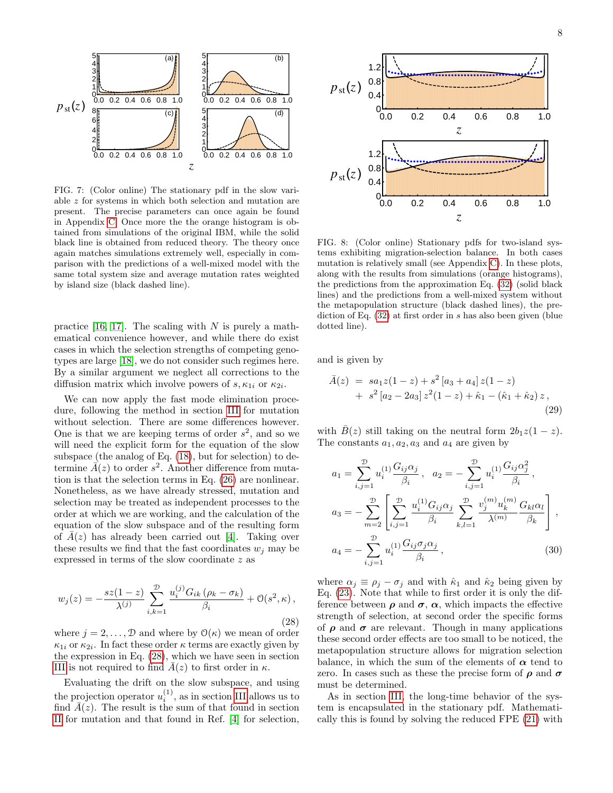

<span id="page-7-2"></span>FIG. 7: (Color online) The stationary pdf in the slow variable z for systems in which both selection and mutation are present. The precise parameters can once again be found in Appendix [C.](#page-13-0) Once more the the orange histogram is obtained from simulations of the original IBM, while the solid black line is obtained from reduced theory. The theory once again matches simulations extremely well, especially in comparison with the predictions of a well-mixed model with the same total system size and average mutation rates weighted by island size (black dashed line).

practice [\[16,](#page-15-14) [17\]](#page-15-15). The scaling with  $N$  is purely a mathematical convenience however, and while there do exist cases in which the selection strengths of competing genotypes are large [\[18\]](#page-15-16), we do not consider such regimes here. By a similar argument we neglect all corrections to the diffusion matrix which involve powers of  $s, \kappa_{1i}$  or  $\kappa_{2i}$ .

We can now apply the fast mode elimination procedure, following the method in section [III](#page-3-0) for mutation without selection. There are some differences however. One is that we are keeping terms of order  $s^2$ , and so we will need the explicit form for the equation of the slow subspace (the analog of Eq. [\(18\)](#page-4-4), but for selection) to determine  $\vec{A}(z)$  to order  $s^2$ . Another difference from mutation is that the selection terms in Eq. [\(26\)](#page-6-3) are nonlinear. Nonetheless, as we have already stressed, mutation and selection may be treated as independent processes to the order at which we are working, and the calculation of the equation of the slow subspace and of the resulting form of  $A(z)$  has already been carried out [\[4\]](#page-15-2). Taking over these results we find that the fast coordinates  $w_i$  may be expressed in terms of the slow coordinate z as  $P_{\text{st}}(z)$ <br>  $P_{\text{st}}(z)$ <br>  $P_{\text{st}}(z)$ <br>  $P_{\text{st}}(z)$ <br>  $P_{\text{st}}(z)$ <br>  $P_{\text{st}}(z)$ <br>  $P_{\text{st}}(z)$ <br>
FIG. 7: (Color coline) The stationary pdf in the slow vari-<br>
How select the mutation and the slow behavior and the slow the

<span id="page-7-0"></span>
$$
w_j(z) = -\frac{sz(1-z)}{\lambda^{(j)}} \sum_{i,k=1}^{\mathcal{D}} \frac{u_i^{(j)} G_{ik} (\rho_k - \sigma_k)}{\beta_i} + \mathcal{O}(s^2, \kappa),
$$
\n(28)

where  $j = 2, ..., \mathcal{D}$  and where by  $\mathcal{O}(\kappa)$  we mean of order  $\kappa_{1i}$  or  $\kappa_{2i}$ . In fact these order  $\kappa$  terms are exactly given by the expression in Eq. [\(28\)](#page-7-0), which we have seen in section [III](#page-3-0) is not required to find  $\bar{A}(z)$  to first order in  $\kappa$ .

Evaluating the drift on the slow subspace, and using the projection operator  $u_i^{(1)}$ , as in section [III](#page-3-0) allows us to find  $\bar{A}(z)$ . The result is the sum of that found in section



<span id="page-7-4"></span>FIG. 8: (Color online) Stationary pdfs for two-island systems exhibiting migration-selection balance. In both cases mutation is relatively small (see Appendix [C\)](#page-13-0). In these plots, along with the results from simulations (orange histograms), the predictions from the approximation Eq. [\(32\)](#page-8-1) (solid black lines) and the predictions from a well-mixed system without the metapopulation structure (black dashed lines), the prediction of Eq. [\(32\)](#page-8-1) at first order in s has also been given (blue dotted line).

and is given by

<span id="page-7-1"></span>
$$
\bar{A}(z) = s a_1 z (1 - z) + s^2 [a_3 + a_4] z (1 - z) \n+ s^2 [a_2 - 2a_3] z^2 (1 - z) + \hat{\kappa}_1 - (\hat{\kappa}_1 + \hat{\kappa}_2) z,
$$
\n(29)

with  $\bar{B}(z)$  still taking on the neutral form  $2b_1z(1-z)$ . The constants  $a_1, a_2, a_3$  and  $a_4$  are given by

<span id="page-7-3"></span>
$$
a_{1} = \sum_{i,j=1}^{\mathcal{D}} u_{i}^{(1)} \frac{G_{ij} \alpha_{j}}{\beta_{i}}, \quad a_{2} = -\sum_{i,j=1}^{\mathcal{D}} u_{i}^{(1)} \frac{G_{ij} \alpha_{j}^{2}}{\beta_{i}},
$$

$$
a_{3} = -\sum_{m=2}^{\mathcal{D}} \left[ \sum_{i,j=1}^{\mathcal{D}} \frac{u_{i}^{(1)} G_{ij} \alpha_{j}}{\beta_{i}} \sum_{k,l=1}^{\mathcal{D}} \frac{v_{j}^{(m)} u_{k}^{(m)}}{\lambda^{(m)}} \frac{G_{kl} \alpha_{l}}{\beta_{k}} \right],
$$

$$
a_{4} = -\sum_{i,j=1}^{\mathcal{D}} u_{i}^{(1)} \frac{G_{ij} \sigma_{j} \alpha_{j}}{\beta_{i}}, \tag{30}
$$

where  $\alpha_j \equiv \rho_j - \sigma_j$  and with  $\hat{\kappa}_1$  and  $\hat{\kappa}_2$  being given by Eq. [\(23\)](#page-5-2). Note that while to first order it is only the difference between  $\rho$  and  $\sigma$ ,  $\alpha$ , which impacts the effective strength of selection, at second order the specific forms of  $\rho$  and  $\sigma$  are relevant. Though in many applications these second order effects are too small to be noticed, the metapopulation structure allows for migration selection balance, in which the sum of the elements of  $\alpha$  tend to zero. In cases such as these the precise form of  $\rho$  and  $\sigma$ must be determined.

As in section [III,](#page-3-0) the long-time behavior of the system is encapsulated in the stationary pdf. Mathematically this is found by solving the reduced FPE [\(21\)](#page-5-6) with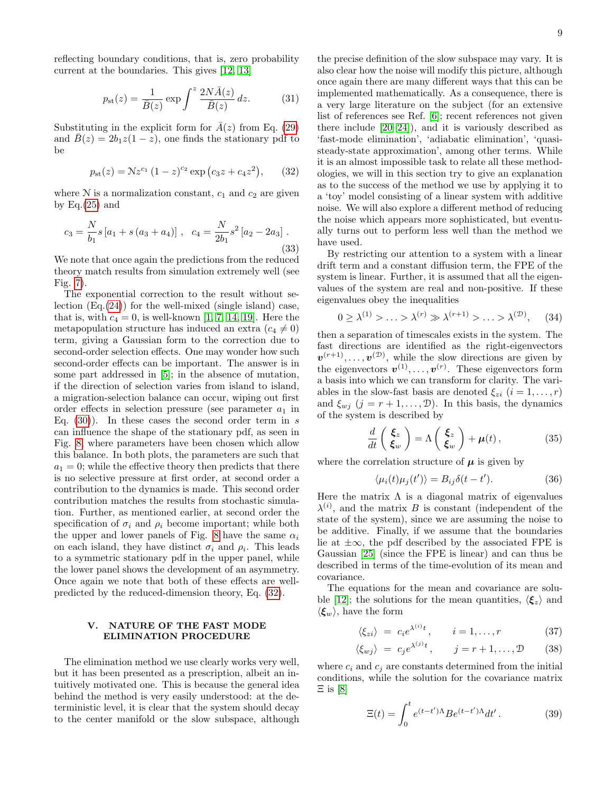reflecting boundary conditions, that is, zero probability current at the boundaries. This gives [\[12,](#page-15-10) [13\]](#page-15-11)

$$
p_{\rm st}(z) = \frac{1}{\bar{B}(z)} \exp \int^z \frac{2N\bar{A}(z)}{\bar{B}(z)} dz.
$$
 (31)

Substituting in the explicit form for  $\overline{A}(z)$  from Eq. [\(29\)](#page-7-1) and  $\bar{B}(z) = 2b_1z(1-z)$ , one finds the stationary pdf to be

<span id="page-8-1"></span>
$$
p_{\rm st}(z) = Nz^{c_1} (1 - z)^{c_2} \exp(c_3 z + c_4 z^2), \qquad (32)
$$

where  $N$  is a normalization constant,  $c_1$  and  $c_2$  are given by  $Eq.(25)$  $Eq.(25)$  and

$$
c_3 = \frac{N}{b_1}s[a_1 + s(a_3 + a_4)], \quad c_4 = \frac{N}{2b_1}s^2[a_2 - 2a_3].
$$
\n(33)

We note that once again the predictions from the reduced theory match results from simulation extremely well (see Fig. [7\)](#page-7-2).

The exponential correction to the result without selection (Eq.[\(24\)](#page-5-3)) for the well-mixed (single island) case, that is, with  $c_4 = 0$ , is well-known [\[1,](#page-15-0) [7,](#page-15-5) [14,](#page-15-12) [19\]](#page-15-17). Here the metapopulation structure has induced an extra  $(c_4 \neq 0)$ term, giving a Gaussian form to the correction due to second-order selection effects. One may wonder how such second-order effects can be important. The answer is in some part addressed in [\[5\]](#page-15-3); in the absence of mutation, if the direction of selection varies from island to island, a migration-selection balance can occur, wiping out first order effects in selection pressure (see parameter  $a_1$  in Eq.  $(30)$ . In these cases the second order term in s can influence the shape of the stationary pdf, as seen in Fig. [8,](#page-7-4) where parameters have been chosen which allow this balance. In both plots, the parameters are such that  $a_1 = 0$ ; while the effective theory then predicts that there is no selective pressure at first order, at second order a contribution to the dynamics is made. This second order contribution matches the results from stochastic simulation. Further, as mentioned earlier, at second order the specification of  $\sigma_i$  and  $\rho_i$  become important; while both the upper and lower panels of Fig. [8](#page-7-4) have the same  $\alpha_i$ on each island, they have distinct  $\sigma_i$  and  $\rho_i$ . This leads to a symmetric stationary pdf in the upper panel, while the lower panel shows the development of an asymmetry. Once again we note that both of these effects are wellpredicted by the reduced-dimension theory, Eq. [\(32\)](#page-8-1).

### <span id="page-8-0"></span>V. NATURE OF THE FAST MODE ELIMINATION PROCEDURE

The elimination method we use clearly works very well, but it has been presented as a prescription, albeit an intuitively motivated one. This is because the general idea behind the method is very easily understood: at the deterministic level, it is clear that the system should decay to the center manifold or the slow subspace, although the precise definition of the slow subspace may vary. It is also clear how the noise will modify this picture, although once again there are many different ways that this can be implemented mathematically. As a consequence, there is a very large literature on the subject (for an extensive list of references see Ref. [\[6\]](#page-15-4); recent references not given there include [\[20–](#page-15-18)[24\]](#page-15-19)), and it is variously described as 'fast-mode elimination', 'adiabatic elimination', 'quasisteady-state approximation', among other terms. While it is an almost impossible task to relate all these methodologies, we will in this section try to give an explanation as to the success of the method we use by applying it to a 'toy' model consisting of a linear system with additive noise. We will also explore a different method of reducing the noise which appears more sophisticated, but eventually turns out to perform less well than the method we have used.

By restricting our attention to a system with a linear drift term and a constant diffusion term, the FPE of the system is linear. Further, it is assumed that all the eigenvalues of the system are real and non-positive. If these eigenvalues obey the inequalities

<span id="page-8-2"></span>
$$
0 \ge \lambda^{(1)} > \ldots > \lambda^{(r)} \gg \lambda^{(r+1)} > \ldots > \lambda^{(D)}, \quad (34)
$$

then a separation of timescales exists in the system. The fast directions are identified as the right-eigenvectors  $v^{(r+1)}, \ldots, v^{(\mathcal{D})}$ , while the slow directions are given by the eigenvectors  $v^{(1)}, \ldots, v^{(r)}$ . These eigenvectors form a basis into which we can transform for clarity. The variables in the slow-fast basis are denoted  $\xi_{zi}$   $(i = 1, \ldots, r)$ and  $\xi_{wj}$   $(j = r + 1, ..., \mathcal{D})$ . In this basis, the dynamics of the system is described by

<span id="page-8-3"></span>
$$
\frac{d}{dt}\left(\begin{array}{c}\xi_z\\ \xi_w\end{array}\right)=\Lambda\left(\begin{array}{c}\xi_z\\ \xi_w\end{array}\right)+\mu(t)\,,\tag{35}
$$

where the correlation structure of  $\mu$  is given by

$$
\langle \mu_i(t)\mu_j(t')\rangle = B_{ij}\delta(t-t'). \tag{36}
$$

Here the matrix  $\Lambda$  is a diagonal matrix of eigenvalues  $\lambda^{(i)}$ , and the matrix B is constant (independent of the state of the system), since we are assuming the noise to be additive. Finally, if we assume that the boundaries lie at  $\pm \infty$ , the pdf described by the associated FPE is Gaussian [\[25\]](#page-15-20) (since the FPE is linear) and can thus be described in terms of the time-evolution of its mean and covariance.

The equations for the mean and covariance are solu-ble [\[12\]](#page-15-10); the solutions for the mean quantities,  $\langle \xi_z \rangle$  and  $\langle \boldsymbol{\xi}_w \rangle$ , have the form

$$
\langle \xi_{zi} \rangle = c_i e^{\lambda^{(i)} t}, \qquad i = 1, \dots, r \tag{37}
$$

$$
\langle \xi_{wj} \rangle = c_j e^{\lambda^{(j)}t}, \qquad j = r + 1, \dots, \mathcal{D} \tag{38}
$$

where  $c_i$  and  $c_j$  are constants determined from the initial conditions, while the solution for the covariance matrix  $\Xi$  is [\[8\]](#page-15-6)

<span id="page-8-4"></span>
$$
\Xi(t) = \int_0^t e^{(t-t')\Lambda} B e^{(t-t')\Lambda} dt'.
$$
 (39)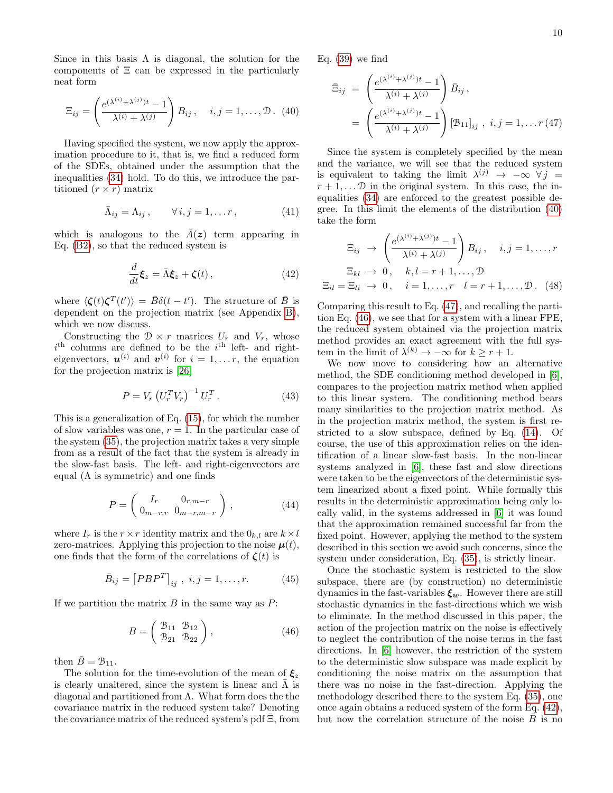Since in this basis  $\Lambda$  is diagonal, the solution for the components of  $E$  can be expressed in the particularly neat form

<span id="page-9-0"></span>
$$
\Xi_{ij} = \left(\frac{e^{(\lambda^{(i)} + \lambda^{(j)})t} - 1}{\lambda^{(i)} + \lambda^{(j)}}\right) B_{ij}, \quad i, j = 1, \dots, \mathcal{D}.
$$
 (40)

Having specified the system, we now apply the approximation procedure to it, that is, we find a reduced form of the SDEs, obtained under the assumption that the inequalities [\(34\)](#page-8-2) hold. To do this, we introduce the partitioned  $(r \times r)$  matrix

$$
\bar{\Lambda}_{ij} = \Lambda_{ij}, \qquad \forall i, j = 1, \dots r, \tag{41}
$$

which is analogous to the  $A(z)$  term appearing in Eq. [\(B2\)](#page-12-4), so that the reduced system is

<span id="page-9-3"></span>
$$
\frac{d}{dt}\boldsymbol{\xi}_z = \bar{\Lambda}\boldsymbol{\xi}_z + \boldsymbol{\zeta}(t)\,,\tag{42}
$$

where  $\langle \zeta(t) \zeta^{T}(t') \rangle = \bar{B} \delta(t - t')$ . The structure of  $\bar{B}$  is dependent on the projection matrix (see Appendix [B\)](#page-12-1), which we now discuss.

Constructing the  $\mathcal{D} \times r$  matrices  $U_r$  and  $V_r$ , whose  $i<sup>th</sup>$  columns are defined to be the  $i<sup>th</sup>$  left- and righteigenvectors,  $\mathbf{u}^{(i)}$  and  $\mathbf{v}^{(i)}$  for  $i = 1, \ldots r$ , the equation for the projection matrix is [\[26\]](#page-15-21)

$$
P = V_r \left( U_r^T V_r \right)^{-1} U_r^T . \tag{43}
$$

This is a generalization of Eq. [\(15\)](#page-4-5), for which the number of slow variables was one,  $r = 1$ . In the particular case of the system [\(35\)](#page-8-3), the projection matrix takes a very simple from as a result of the fact that the system is already in the slow-fast basis. The left- and right-eigenvectors are equal  $($  $\Lambda$  is symmetric) and one finds

$$
P = \begin{pmatrix} I_r & 0_{r,m-r} \\ 0_{m-r,r} & 0_{m-r,m-r} \end{pmatrix},
$$
 (44)

where  $I_r$  is the  $r \times r$  identity matrix and the  $0_{k,l}$  are  $k \times l$ zero-matrices. Applying this projection to the noise  $\mu(t)$ , one finds that the form of the correlations of  $\zeta(t)$  is

$$
\bar{B}_{ij} = [PBP^T]_{ij} , i, j = 1, ..., r.
$$
 (45)

If we partition the matrix  $B$  in the same way as  $P$ :

<span id="page-9-2"></span>
$$
B = \begin{pmatrix} B_{11} & B_{12} \\ B_{21} & B_{22} \end{pmatrix}, \tag{46}
$$

then  $\bar{B} = \mathcal{B}_{11}$ .

The solution for the time-evolution of the mean of  $\xi_z$ is clearly unaltered, since the system is linear and  $\bar{\Lambda}$  is diagonal and partitioned from  $\Lambda$ . What form does the the covariance matrix in the reduced system take? Denoting the covariance matrix of the reduced system's pdf  $\Xi$ , from Eq.  $(39)$  we find

<span id="page-9-1"></span>
$$
\begin{split} \bar{\Xi}_{ij} &= \left(\frac{e^{(\lambda^{(i)} + \lambda^{(j)})t} - 1}{\lambda^{(i)} + \lambda^{(j)}}\right) \bar{B}_{ij}, \\ &= \left(\frac{e^{(\lambda^{(i)} + \lambda^{(j)})t} - 1}{\lambda^{(i)} + \lambda^{(j)}}\right) [\mathcal{B}_{11}]_{ij}, \ i, j = 1, \dots r \, (47) \end{split}
$$

Since the system is completely specified by the mean and the variance, we will see that the reduced system is equivalent to taking the limit  $\lambda^{(j)} \rightarrow -\infty$   $\forall j =$  $r + 1, \ldots$  D in the original system. In this case, the inequalities [\(34\)](#page-8-2) are enforced to the greatest possible degree. In this limit the elements of the distribution [\(40\)](#page-9-0) take the form

<span id="page-9-4"></span>
$$
\Xi_{ij} \rightarrow \left(\frac{e^{(\lambda^{(i)} + \lambda^{(j)})t} - 1}{\lambda^{(i)} + \lambda^{(j)}}\right) B_{ij}, \quad i, j = 1, \dots, r
$$

$$
\Xi_{kl} \rightarrow 0, \quad k, l = r + 1, \dots, \mathcal{D}
$$

$$
\Xi_{il} = \Xi_{li} \rightarrow 0, \quad i = 1, \dots, r \quad l = r + 1, \dots, \mathcal{D}. \quad (48)
$$

Comparing this result to Eq. [\(47\)](#page-9-1), and recalling the partition Eq. [\(46\)](#page-9-2), we see that for a system with a linear FPE, the reduced system obtained via the projection matrix method provides an exact agreement with the full system in the limit of  $\lambda^{(k)} \to -\infty$  for  $k \geq r+1$ .

We now move to considering how an alternative method, the SDE conditioning method developed in [\[6\]](#page-15-4), compares to the projection matrix method when applied to this linear system. The conditioning method bears many similarities to the projection matrix method. As in the projection matrix method, the system is first restricted to a slow subspace, defined by Eq. [\(14\)](#page-4-1). Of course, the use of this approximation relies on the identification of a linear slow-fast basis. In the non-linear systems analyzed in [\[6\]](#page-15-4), these fast and slow directions were taken to be the eigenvectors of the deterministic system linearized about a fixed point. While formally this results in the deterministic approximation being only locally valid, in the systems addressed in [\[6\]](#page-15-4) it was found that the approximation remained successful far from the fixed point. However, applying the method to the system described in this section we avoid such concerns, since the system under consideration, Eq. [\(35\)](#page-8-3), is strictly linear.

Once the stochastic system is restricted to the slow subspace, there are (by construction) no deterministic dynamics in the fast-variables  $\xi_w$ . However there are still stochastic dynamics in the fast-directions which we wish to eliminate. In the method discussed in this paper, the action of the projection matrix on the noise is effectively to neglect the contribution of the noise terms in the fast directions. In [\[6\]](#page-15-4) however, the restriction of the system to the deterministic slow subspace was made explicit by conditioning the noise matrix on the assumption that there was no noise in the fast-direction. Applying the methodology described there to the system Eq. [\(35\)](#page-8-3), one once again obtains a reduced system of the form Eq. [\(42\)](#page-9-3), but now the correlation structure of the noise  $B$  is no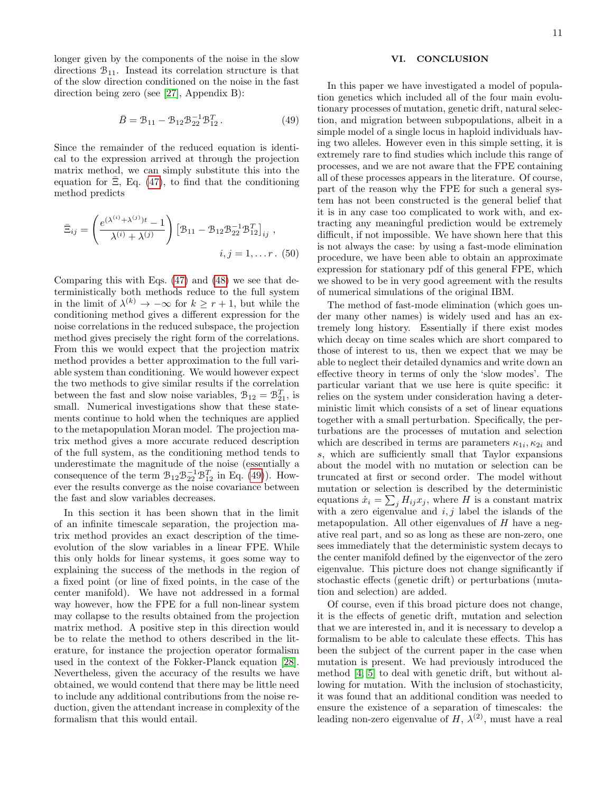longer given by the components of the noise in the slow directions  $\mathcal{B}_{11}$ . Instead its correlation structure is that of the slow direction conditioned on the noise in the fast direction being zero (see [\[27\]](#page-15-22), Appendix B):

<span id="page-10-1"></span>
$$
\bar{B} = \mathcal{B}_{11} - \mathcal{B}_{12} \mathcal{B}_{22}^{-1} \mathcal{B}_{12}^{T}.
$$
 (49)

Since the remainder of the reduced equation is identical to the expression arrived at through the projection matrix method, we can simply substitute this into the equation for  $\Xi$ , Eq. [\(47\)](#page-9-1), to find that the conditioning method predicts

$$
\bar{\Xi}_{ij} = \left(\frac{e^{(\lambda^{(i)} + \lambda^{(j)})t} - 1}{\lambda^{(i)} + \lambda^{(j)}}\right) \left[\mathcal{B}_{11} - \mathcal{B}_{12} \mathcal{B}_{22}^{-1} \mathcal{B}_{12}^T\right]_{ij},
$$
  
 $i, j = 1, \dots r. (50)$ 

Comparing this with Eqs. [\(47\)](#page-9-1) and [\(48\)](#page-9-4) we see that deterministically both methods reduce to the full system in the limit of  $\lambda^{(k)} \to -\infty$  for  $k \geq r+1$ , but while the conditioning method gives a different expression for the noise correlations in the reduced subspace, the projection method gives precisely the right form of the correlations. From this we would expect that the projection matrix method provides a better approximation to the full variable system than conditioning. We would however expect the two methods to give similar results if the correlation between the fast and slow noise variables,  $\mathcal{B}_{12} = \mathcal{B}_{21}^T$ , is small. Numerical investigations show that these statements continue to hold when the techniques are applied to the metapopulation Moran model. The projection matrix method gives a more accurate reduced description of the full system, as the conditioning method tends to underestimate the magnitude of the noise (essentially a consequence of the term  $\mathcal{B}_{12} \mathcal{B}_{22}^{-1} \mathcal{B}_{12}^T$  in Eq. [\(49\)](#page-10-1)). However the results converge as the noise covariance between the fast and slow variables decreases.

In this section it has been shown that in the limit of an infinite timescale separation, the projection matrix method provides an exact description of the timeevolution of the slow variables in a linear FPE. While this only holds for linear systems, it goes some way to explaining the success of the methods in the region of a fixed point (or line of fixed points, in the case of the center manifold). We have not addressed in a formal way however, how the FPE for a full non-linear system may collapse to the results obtained from the projection matrix method. A positive step in this direction would be to relate the method to others described in the literature, for instance the projection operator formalism used in the context of the Fokker-Planck equation [\[28\]](#page-15-23). Nevertheless, given the accuracy of the results we have obtained, we would contend that there may be little need to include any additional contributions from the noise reduction, given the attendant increase in complexity of the formalism that this would entail.

### <span id="page-10-0"></span>VI. CONCLUSION

In this paper we have investigated a model of population genetics which included all of the four main evolutionary processes of mutation, genetic drift, natural selection, and migration between subpopulations, albeit in a simple model of a single locus in haploid individuals having two alleles. However even in this simple setting, it is extremely rare to find studies which include this range of processes, and we are not aware that the FPE containing all of these processes appears in the literature. Of course, part of the reason why the FPE for such a general system has not been constructed is the general belief that it is in any case too complicated to work with, and extracting any meaningful prediction would be extremely difficult, if not impossible. We have shown here that this is not always the case: by using a fast-mode elimination procedure, we have been able to obtain an approximate expression for stationary pdf of this general FPE, which we showed to be in very good agreement with the results of numerical simulations of the original IBM.

The method of fast-mode elimination (which goes under many other names) is widely used and has an extremely long history. Essentially if there exist modes which decay on time scales which are short compared to those of interest to us, then we expect that we may be able to neglect their detailed dynamics and write down an effective theory in terms of only the 'slow modes'. The particular variant that we use here is quite specific: it relies on the system under consideration having a deterministic limit which consists of a set of linear equations together with a small perturbation. Specifically, the perturbations are the processes of mutation and selection which are described in terms are parameters  $\kappa_{1i}, \kappa_{2i}$  and s, which are sufficiently small that Taylor expansions about the model with no mutation or selection can be truncated at first or second order. The model without mutation or selection is described by the deterministic equations  $\dot{x}_i = \sum_j H_{ij} x_j$ , where H is a constant matrix with a zero eigenvalue and  $i, j$  label the islands of the metapopulation. All other eigenvalues of  $H$  have a negative real part, and so as long as these are non-zero, one sees immediately that the deterministic system decays to the center manifold defined by the eigenvector of the zero eigenvalue. This picture does not change significantly if stochastic effects (genetic drift) or perturbations (mutation and selection) are added.

Of course, even if this broad picture does not change, it is the effects of genetic drift, mutation and selection that we are interested in, and it is necessary to develop a formalism to be able to calculate these effects. This has been the subject of the current paper in the case when mutation is present. We had previously introduced the method [\[4,](#page-15-2) [5\]](#page-15-3) to deal with genetic drift, but without allowing for mutation. With the inclusion of stochasticity, it was found that an additional condition was needed to ensure the existence of a separation of timescales: the leading non-zero eigenvalue of  $H$ ,  $\lambda^{(2)}$ , must have a real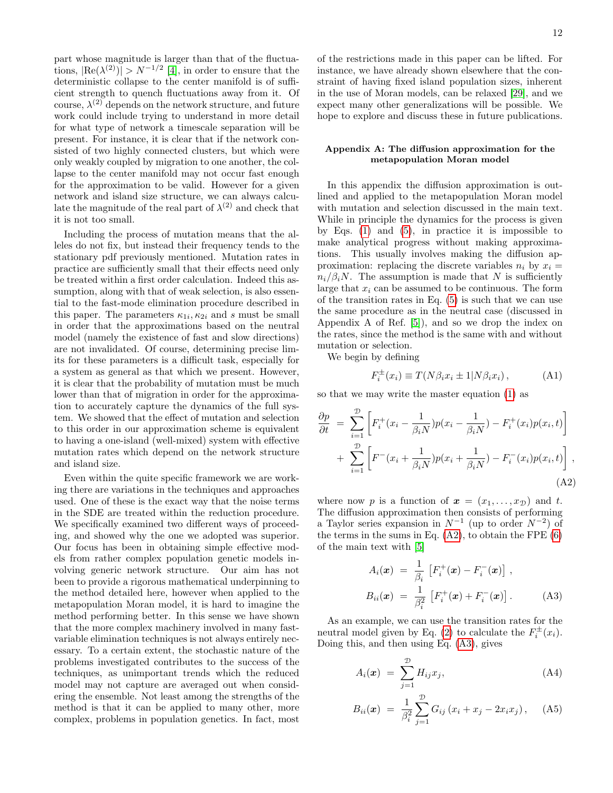part whose magnitude is larger than that of the fluctuations,  $|\text{Re}(\lambda^{(2)})| > N^{-1/2}$  [\[4\]](#page-15-2), in order to ensure that the deterministic collapse to the center manifold is of sufficient strength to quench fluctuations away from it. Of course,  $\lambda^{(2)}$  depends on the network structure, and future work could include trying to understand in more detail for what type of network a timescale separation will be present. For instance, it is clear that if the network consisted of two highly connected clusters, but which were only weakly coupled by migration to one another, the collapse to the center manifold may not occur fast enough for the approximation to be valid. However for a given network and island size structure, we can always calculate the magnitude of the real part of  $\lambda^{(2)}$  and check that it is not too small.

Including the process of mutation means that the alleles do not fix, but instead their frequency tends to the stationary pdf previously mentioned. Mutation rates in practice are sufficiently small that their effects need only be treated within a first order calculation. Indeed this assumption, along with that of weak selection, is also essential to the fast-mode elimination procedure described in this paper. The parameters  $\kappa_{1i}, \kappa_{2i}$  and s must be small in order that the approximations based on the neutral model (namely the existence of fast and slow directions) are not invalidated. Of course, determining precise limits for these parameters is a difficult task, especially for a system as general as that which we present. However, it is clear that the probability of mutation must be much lower than that of migration in order for the approximation to accurately capture the dynamics of the full system. We showed that the effect of mutation and selection to this order in our approximation scheme is equivalent to having a one-island (well-mixed) system with effective mutation rates which depend on the network structure and island size.

Even within the quite specific framework we are working there are variations in the techniques and approaches used. One of these is the exact way that the noise terms in the SDE are treated within the reduction procedure. We specifically examined two different ways of proceeding, and showed why the one we adopted was superior. Our focus has been in obtaining simple effective models from rather complex population genetic models involving generic network structure. Our aim has not been to provide a rigorous mathematical underpinning to the method detailed here, however when applied to the metapopulation Moran model, it is hard to imagine the method performing better. In this sense we have shown that the more complex machinery involved in many fastvariable elimination techniques is not always entirely necessary. To a certain extent, the stochastic nature of the problems investigated contributes to the success of the techniques, as unimportant trends which the reduced model may not capture are averaged out when considering the ensemble. Not least among the strengths of the method is that it can be applied to many other, more complex, problems in population genetics. In fact, most

of the restrictions made in this paper can be lifted. For instance, we have already shown elsewhere that the constraint of having fixed island population sizes, inherent in the use of Moran models, can be relaxed [\[29\]](#page-15-24), and we expect many other generalizations will be possible. We hope to explore and discuss these in future publications.

### <span id="page-11-0"></span>Appendix A: The diffusion approximation for the metapopulation Moran model

In this appendix the diffusion approximation is outlined and applied to the metapopulation Moran model with mutation and selection discussed in the main text. While in principle the dynamics for the process is given by Eqs.  $(1)$  and  $(5)$ , in practice it is impossible to make analytical progress without making approximations. This usually involves making the diffusion approximation: replacing the discrete variables  $n_i$  by  $x_i =$  $n_i/\beta_i N$ . The assumption is made that N is sufficiently large that  $x_i$  can be assumed to be continuous. The form of the transition rates in Eq. [\(5\)](#page-2-2) is such that we can use the same procedure as in the neutral case (discussed in Appendix A of Ref. [\[5\]](#page-15-3)), and so we drop the index on the rates, since the method is the same with and without mutation or selection.

We begin by defining

<span id="page-11-1"></span>
$$
F_i^{\pm}(x_i) \equiv T(N\beta_i x_i \pm 1 | N\beta_i x_i), \qquad (A1)
$$

so that we may write the master equation [\(1\)](#page-1-3) as

<span id="page-11-3"></span>
$$
\frac{\partial p}{\partial t} = \sum_{i=1}^{\mathcal{D}} \left[ F_i^+(x_i - \frac{1}{\beta_i N}) p(x_i - \frac{1}{\beta_i N}) - F_i^+(x_i) p(x_i, t) \right] + \sum_{i=1}^{\mathcal{D}} \left[ F^-(x_i + \frac{1}{\beta_i N}) p(x_i + \frac{1}{\beta_i N}) - F_i^-(x_i) p(x_i, t) \right],
$$
\n(A2)

where now p is a function of  $\mathbf{x} = (x_1, \ldots, x_{\mathcal{D}})$  and t. The diffusion approximation then consists of performing a Taylor series expansion in  $N^{-1}$  (up to order  $N^{-2}$ ) of the terms in the sums in Eq.  $(A2)$ , to obtain the FPE  $(6)$ of the main text with [\[5\]](#page-15-3)

<span id="page-11-2"></span>
$$
A_i(\boldsymbol{x}) = \frac{1}{\beta_i} \left[ F_i^+(\boldsymbol{x}) - F_i^-(\boldsymbol{x}) \right],
$$
  
\n
$$
B_{ii}(\boldsymbol{x}) = \frac{1}{\beta_i^2} \left[ F_i^+(\boldsymbol{x}) + F_i^-(\boldsymbol{x}) \right].
$$
 (A3)

As an example, we can use the transition rates for the neutral model given by Eq. [\(2\)](#page-1-2) to calculate the  $F_i^{\pm}(x_i)$ . Doing this, and then using Eq. [\(A3\)](#page-11-2), gives

<span id="page-11-4"></span>
$$
A_i(\boldsymbol{x}) = \sum_{j=1}^{\mathcal{D}} H_{ij} x_j,
$$
 (A4)

$$
B_{ii}(\boldsymbol{x}) = \frac{1}{\beta_i^2} \sum_{j=1}^{D} G_{ij} (x_i + x_j - 2x_i x_j), \quad (A5)
$$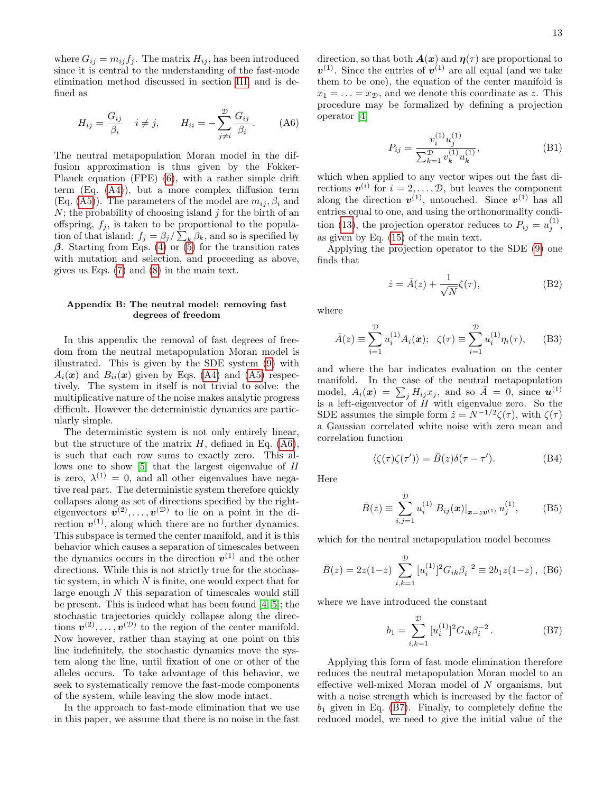where  $G_{ij} = m_{ij} f_j$ . The matrix  $H_{ij}$ , has been introduced since it is central to the understanding of the fast-mode elimination method discussed in section [III,](#page-3-0) and is defined as

<span id="page-12-0"></span>
$$
H_{ij} = \frac{G_{ij}}{\beta_i} \quad i \neq j, \qquad H_{ii} = -\sum_{j \neq i}^{D} \frac{G_{ij}}{\beta_i}.
$$
 (A6)

The neutral metapopulation Moran model in the diffusion approximation is thus given by the Fokker-Planck equation (FPE) [\(6\)](#page-2-3), with a rather simple drift term (Eq. [\(A4\)](#page-11-4)), but a more complex diffusion term (Eq. [\(A5\)](#page-11-4)). The parameters of the model are  $m_{ij}$ ,  $\beta_i$  and  $N$ ; the probability of choosing island  $j$  for the birth of an offspring,  $f_j$ , is taken to be proportional to the population of that island:  $f_j = \beta_j / \sum_k \beta_k$ , and so is specified by β. Starting from Eqs. [\(4\)](#page-2-1) or [\(5\)](#page-2-2) for the transition rates with mutation and selection, and proceeding as above, gives us Eqs. [\(7\)](#page-2-4) and [\(8\)](#page-3-1) in the main text.

## <span id="page-12-1"></span>Appendix B: The neutral model: removing fast degrees of freedom

In this appendix the removal of fast degrees of freedom from the neutral metapopulation Moran model is illustrated. This is given by the SDE system [\(9\)](#page-3-3) with  $A_i(x)$  and  $B_{ii}(x)$  given by Eqs. [\(A4\)](#page-11-4) and [\(A5\)](#page-11-4) respectively. The system in itself is not trivial to solve: the multiplicative nature of the noise makes analytic progress difficult. However the deterministic dynamics are particularly simple.

The deterministic system is not only entirely linear, but the structure of the matrix  $H$ , defined in Eq. [\(A6\)](#page-12-0), is such that each row sums to exactly zero. This allows one to show [\[5\]](#page-15-3) that the largest eigenvalue of H is zero,  $\lambda^{(1)} = 0$ , and all other eigenvalues have negative real part. The deterministic system therefore quickly collapses along as set of directions specified by the righteigenvectors  $v^{(2)}, \ldots, v^{(D)}$  to lie on a point in the direction  $v^{(1)}$ , along which there are no further dynamics. This subspace is termed the center manifold, and it is this behavior which causes a separation of timescales between the dynamics occurs in the direction  $v^{(1)}$  and the other directions. While this is not strictly true for the stochastic system, in which  $N$  is finite, one would expect that for large enough  $N$  this separation of timescales would still be present. This is indeed what has been found [\[4,](#page-15-2) [5\]](#page-15-3); the stochastic trajectories quickly collapse along the directions  $v^{(2)}, \ldots, v^{(D)}$  to the region of the center manifold. Now however, rather than staying at one point on this line indefinitely, the stochastic dynamics move the system along the line, until fixation of one or other of the alleles occurs. To take advantage of this behavior, we seek to systematically remove the fast-mode components of the system, while leaving the slow mode intact.

In the approach to fast-mode elimination that we use in this paper, we assume that there is no noise in the fast

direction, so that both  $A(x)$  and  $\eta(\tau)$  are proportional to  $v^{(1)}$ . Since the entries of  $v^{(1)}$  are all equal (and we take them to be one), the equation of the center manifold is  $x_1 = \ldots = x_{\mathcal{D}}$ , and we denote this coordinate as z. This procedure may be formalized by defining a projection operator [\[4\]](#page-15-2)

$$
P_{ij} = \frac{v_i^{(1)} u_j^{(1)}}{\sum_{k=1}^{\mathcal{D}} v_k^{(1)} u_k^{(1)}},\tag{B1}
$$

which when applied to any vector wipes out the fast directions  $v^{(i)}$  for  $i = 2, ..., \mathcal{D}$ , but leaves the component along the direction  $v^{(1)}$ , untouched. Since  $v^{(1)}$  has all entries equal to one, and using the orthonormality condi-tion [\(13\)](#page-4-6), the projection operator reduces to  $P_{ij} = u_j^{(1)}$ , as given by Eq. [\(15\)](#page-4-5) of the main text.

Applying the projection operator to the SDE [\(9\)](#page-3-3) one finds that

<span id="page-12-4"></span>
$$
\dot{z} = \bar{A}(z) + \frac{1}{\sqrt{N}} \zeta(\tau), \tag{B2}
$$

where

$$
\bar{A}(z) \equiv \sum_{i=1}^{\mathcal{D}} u_i^{(1)} A_i(\boldsymbol{x}); \ \ \zeta(\tau) \equiv \sum_{i=1}^{\mathcal{D}} u_i^{(1)} \eta_i(\tau), \qquad (B3)
$$

and where the bar indicates evaluation on the center manifold. In the case of the neutral metapopulation model,  $A_i(\boldsymbol{x}) = \sum_j H_{ij} x_j$ , and so  $\bar{A} = 0$ , since  $\boldsymbol{u}^{(1)}$ is a left-eigenvector of  $H$  with eigenvalue zero. So the SDE assumes the simple form  $\dot{z} = N^{-1/2} \zeta(\tau)$ , with  $\zeta(\tau)$ a Gaussian correlated white noise with zero mean and correlation function

$$
\langle \zeta(\tau)\zeta(\tau') \rangle = \bar{B}(z)\delta(\tau - \tau'). \tag{B4}
$$

Here

<span id="page-12-2"></span>
$$
\bar{B}(z) \equiv \sum_{i,j=1}^{\mathcal{D}} u_i^{(1)} \left. B_{ij}(\boldsymbol{x}) \right|_{\boldsymbol{x} = z\boldsymbol{v}^{(1)}} u_j^{(1)}, \quad (B5)
$$

which for the neutral metapopulation model becomes

$$
\bar{B}(z) = 2z(1-z) \sum_{i,k=1}^{\mathcal{D}} [u_i^{(1)}]^2 G_{ik} \beta_i^{-2} \equiv 2b_1 z(1-z), \text{ (B6)}
$$

where we have introduced the constant

<span id="page-12-3"></span>
$$
b_1 = \sum_{i,k=1}^{\mathcal{D}} [u_i^{(1)}]^2 G_{ik} \beta_i^{-2} . \tag{B7}
$$

Applying this form of fast mode elimination therefore reduces the neutral metapopulation Moran model to an effective well-mixed Moran model of N organisms, but with a noise strength which is increased by the factor of  $b_1$  given in Eq. [\(B7\)](#page-12-3). Finally, to completely define the reduced model, we need to give the initial value of the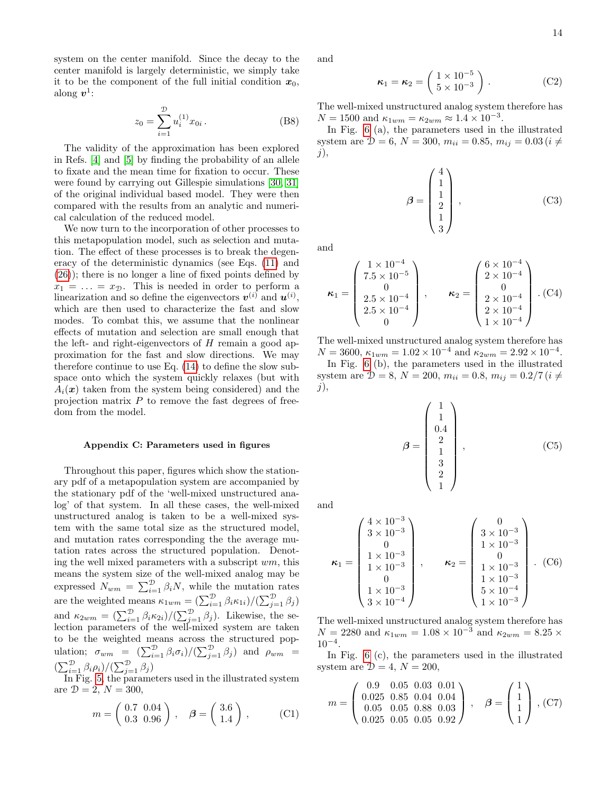system on the center manifold. Since the decay to the center manifold is largely deterministic, we simply take it to be the component of the full initial condition  $x_0$ , along  $v^1$ :

$$
z_0 = \sum_{i=1}^{\mathcal{D}} u_i^{(1)} x_{0i} . \tag{B8}
$$

The validity of the approximation has been explored in Refs. [\[4\]](#page-15-2) and [\[5\]](#page-15-3) by finding the probability of an allele to fixate and the mean time for fixation to occur. These were found by carrying out Gillespie simulations [\[30,](#page-15-25) [31\]](#page-15-26) of the original individual based model. They were then compared with the results from an analytic and numerical calculation of the reduced model.

We now turn to the incorporation of other processes to this metapopulation model, such as selection and mutation. The effect of these processes is to break the degeneracy of the deterministic dynamics (see Eqs. [\(11\)](#page-3-4) and [\(26\)](#page-6-3)); there is no longer a line of fixed points defined by  $x_1 = \ldots = x_{\mathcal{D}}$ . This is needed in order to perform a linearization and so define the eigenvectors  $v^{(i)}$  and  $u^{(i)}$ , which are then used to characterize the fast and slow modes. To combat this, we assume that the nonlinear effects of mutation and selection are small enough that the left- and right-eigenvectors of  $H$  remain a good approximation for the fast and slow directions. We may therefore continue to use Eq. [\(14\)](#page-4-1) to define the slow subspace onto which the system quickly relaxes (but with  $A_i(x)$  taken from the system being considered) and the projection matrix  $P$  to remove the fast degrees of freedom from the model.

### <span id="page-13-0"></span>Appendix C: Parameters used in figures

Throughout this paper, figures which show the stationary pdf of a metapopulation system are accompanied by the stationary pdf of the 'well-mixed unstructured analog' of that system. In all these cases, the well-mixed unstructured analog is taken to be a well-mixed system with the same total size as the structured model, and mutation rates corresponding the the average mutation rates across the structured population. Denoting the well mixed parameters with a subscript  $wm$ , this means the system size of the well-mixed analog may be expressed  $N_{wm} = \sum_{i=1}^{D} \beta_i N$ , while the mutation rates are the weighted means  $\kappa_{1wm} = \left(\sum_{i=1}^{D} \beta_i \kappa_{1i}\right) / \left(\sum_{j=1}^{D} \beta_j\right)$ and  $\kappa_{2wm} = \left(\sum_{i=1}^{D} \beta_i \kappa_{2i}\right) / \left(\sum_{j=1}^{D} \beta_j\right)$ . Likewise, the selection parameters of the well-mixed system are taken to be the weighted means across the structured population;  $\sigma_{wm} = (\sum_{i=1}^{D} \beta_i \sigma_i) / (\sum_{j=1}^{D} \beta_j)$  and  $\rho_{wm} =$  $\left(\sum_{i=1}^{\mathcal{D}}\beta_i\rho_i\right)/\left(\sum_{j=1}^{\mathcal{D}}\beta_j\right)$ 

In Fig. [5,](#page-6-1) the parameters used in the illustrated system are  $D = 2, N = 300,$ 

$$
m = \left(\begin{array}{cc} 0.7 & 0.04 \\ 0.3 & 0.96 \end{array}\right), \quad \beta = \left(\begin{array}{c} 3.6 \\ 1.4 \end{array}\right), \quad (C1)
$$

and

$$
\boldsymbol{\kappa}_1 = \boldsymbol{\kappa}_2 = \begin{pmatrix} 1 \times 10^{-5} \\ 5 \times 10^{-3} \end{pmatrix} . \tag{C2}
$$

The well-mixed unstructured analog system therefore has  $N = 1500$  and  $\kappa_{1wm} = \kappa_{2wm} \approx 1.4 \times 10^{-3}$ .

In Fig. [6](#page-6-2) (a), the parameters used in the illustrated system are  $\mathcal{D} = 6, N = 300, m_{ii} = 0.85, m_{ij} = 0.03 (i \neq$  $j),$ 

$$
\beta = \begin{pmatrix} 4 \\ 1 \\ 1 \\ 2 \\ 1 \\ 3 \end{pmatrix}, \tag{C3}
$$

and

$$
\kappa_1 = \begin{pmatrix} 1 \times 10^{-4} \\ 7.5 \times 10^{-5} \\ 0 \\ 2.5 \times 10^{-4} \\ 2.5 \times 10^{-4} \\ 0 \end{pmatrix}, \qquad \kappa_2 = \begin{pmatrix} 6 \times 10^{-4} \\ 2 \times 10^{-4} \\ 0 \\ 2 \times 10^{-4} \\ 1 \times 10^{-4} \\ 1 \times 10^{-4} \end{pmatrix} . (C4)
$$

The well-mixed unstructured analog system therefore has  $N = 3600, \, \kappa_{1wm} = 1.02 \times 10^{-4}$  and  $\kappa_{2wm} = 2.92 \times 10^{-4}$ . In Fig. [6](#page-6-2) (b), the parameters used in the illustrated system are  $\mathcal{D} = 8, N = 200, m_{ii} = 0.8, m_{ij} = 0.2/7 (i \neq$  $j$ ),

$$
\beta = \begin{pmatrix} 1 \\ 1 \\ 0.4 \\ 2 \\ 1 \\ 3 \\ 2 \\ 1 \end{pmatrix}, \qquad (C5)
$$

and

$$
\kappa_1 = \begin{pmatrix} 4 \times 10^{-3} \\ 3 \times 10^{-3} \\ 0 \\ 1 \times 10^{-3} \\ 1 \times 10^{-3} \\ 0 \\ 1 \times 10^{-3} \\ 3 \times 10^{-4} \end{pmatrix}, \qquad \kappa_2 = \begin{pmatrix} 0 \\ 3 \times 10^{-3} \\ 1 \times 10^{-3} \\ 0 \\ 1 \times 10^{-3} \\ 5 \times 10^{-4} \\ 1 \times 10^{-3} \\ 1 \times 10^{-3} \end{pmatrix}. (C6)
$$

The well-mixed unstructured analog system therefore has  $N = 2280$  and  $\kappa_{1wm} = 1.08 \times 10^{-3}$  and  $\kappa_{2wm} = 8.25 \times$  $10^{-4}$ .

In Fig. [6](#page-6-2) (c), the parameters used in the illustrated system are  $\mathcal{D} = 4$ ,  $N = 200$ ,

$$
m = \begin{pmatrix} 0.9 & 0.05 & 0.03 & 0.01 \\ 0.025 & 0.85 & 0.04 & 0.04 \\ 0.05 & 0.05 & 0.88 & 0.03 \\ 0.025 & 0.05 & 0.05 & 0.92 \end{pmatrix}, \quad \beta = \begin{pmatrix} 1 \\ 1 \\ 1 \\ 1 \end{pmatrix}, \text{(C7)}
$$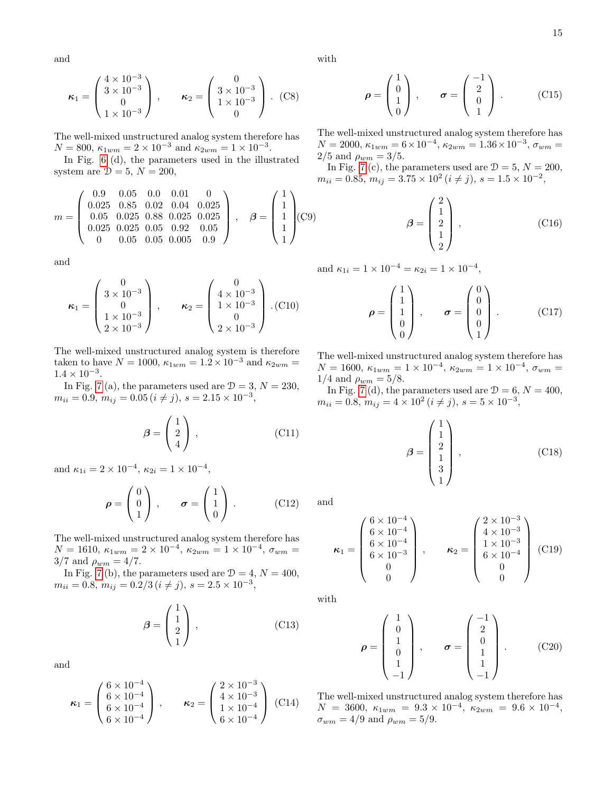and

$$
\kappa_1 = \begin{pmatrix} 4 \times 10^{-3} \\ 3 \times 10^{-3} \\ 0 \\ 1 \times 10^{-3} \end{pmatrix}, \qquad \kappa_2 = \begin{pmatrix} 0 \\ 3 \times 10^{-3} \\ 1 \times 10^{-3} \\ 0 \end{pmatrix}. \tag{C8}
$$

The well-mixed unstructured analog system therefore has  $N = 800, \ \kappa_{1wm} = 2 \times 10^{-3} \text{ and } \kappa_{2wm} = 1 \times 10^{-3}.$ 

In Fig. [6](#page-6-2) (d), the parameters used in the illustrated system are  $\mathcal{D} = 5$ ,  $N = 200$ ,

$$
m = \begin{pmatrix} 0.9 & 0.05 & 0.0 & 0.01 & 0 \\ 0.025 & 0.85 & 0.02 & 0.04 & 0.025 \\ 0.05 & 0.025 & 0.88 & 0.025 & 0.025 \\ 0.025 & 0.025 & 0.05 & 0.92 & 0.05 \\ 0 & 0.05 & 0.05 & 0.005 & 0.9 \end{pmatrix}, \quad \beta = \begin{pmatrix} 1 \\ 1 \\ 1 \\ 1 \\ 1 \end{pmatrix} (C9)
$$

and

$$
\boldsymbol{\kappa}_1 = \begin{pmatrix} 0 \\ 3 \times 10^{-3} \\ 0 \\ 1 \times 10^{-3} \\ 2 \times 10^{-3} \end{pmatrix}, \qquad \boldsymbol{\kappa}_2 = \begin{pmatrix} 0 \\ 4 \times 10^{-3} \\ 1 \times 10^{-3} \\ 0 \\ 2 \times 10^{-3} \end{pmatrix} . (C10)
$$

The well-mixed unstructured analog system is therefore taken to have  $N = 1000$ ,  $\kappa_{1wm} = 1.2 \times 10^{-3}$  and  $\kappa_{2wm} =$  $1.4 \times 10^{-3}$ .

In Fig. [7](#page-7-2) (a), the parameters used are  $\mathcal{D} = 3, N = 230$ ,  $m_{ii} = 0.9, m_{ij} = 0.05 (i \neq j), s = 2.15 \times 10^{-3},$ 

$$
\boldsymbol{\beta} = \begin{pmatrix} 1 \\ 2 \\ 4 \end{pmatrix}, \qquad (C11)
$$

and  $\kappa_{1i} = 2 \times 10^{-4}$ ,  $\kappa_{2i} = 1 \times 10^{-4}$ ,

$$
\boldsymbol{\rho} = \begin{pmatrix} 0 \\ 0 \\ 1 \end{pmatrix}, \qquad \boldsymbol{\sigma} = \begin{pmatrix} 1 \\ 1 \\ 0 \end{pmatrix}. \tag{C12}
$$

The well-mixed unstructured analog system therefore has  $N = 1610, \ \kappa_{1wm} = 2 \times 10^{-4}, \ \kappa_{2wm} = 1 \times 10^{-4}, \ \sigma_{wm} =$  $3/7$  and  $\rho_{wm} = 4/7$ .

In Fig. [7](#page-7-2) (b), the parameters used are  $\mathcal{D} = 4, N = 400$ ,  $m_{ii} = 0.8, m_{ij} = 0.2/3 (i \neq j), s = 2.5 \times 10^{-3},$ 

$$
\beta = \begin{pmatrix} 1 \\ 1 \\ 2 \\ 1 \end{pmatrix}, \tag{C13}
$$

and

$$
\kappa_1 = \begin{pmatrix} 6 \times 10^{-4} \\ 6 \times 10^{-4} \\ 6 \times 10^{-4} \\ 6 \times 10^{-4} \end{pmatrix}, \qquad \kappa_2 = \begin{pmatrix} 2 \times 10^{-3} \\ 4 \times 10^{-3} \\ 1 \times 10^{-4} \\ 6 \times 10^{-4} \end{pmatrix} (C14)
$$

with

$$
\rho = \begin{pmatrix} 1 \\ 0 \\ 1 \\ 0 \end{pmatrix}, \qquad \sigma = \begin{pmatrix} -1 \\ 2 \\ 0 \\ 1 \end{pmatrix}. \tag{C15}
$$

The well-mixed unstructured analog system therefore has  $N = 2000, \, \kappa_{1wm} = 6 \times 10^{-4}, \, \kappa_{2wm} = 1.36 \times 10^{-3}, \, \sigma_{wm} = 1.36 \times 10^{-3}$ 2/5 and  $\rho_{wm} = 3/5$ .

In Fig. [7](#page-7-2) (c), the parameters used are  $\mathcal{D} = 5, N = 200$ ,  $m_{ii} = 0.85, m_{ij} = 3.75 \times 10^2 (i \neq j), s = 1.5 \times 10^{-2},$ 

$$
\beta = \begin{pmatrix} 2 \\ 1 \\ 2 \\ 1 \\ 2 \end{pmatrix}, \qquad (C16)
$$

and  $\kappa_{1i} = 1 \times 10^{-4} = \kappa_{2i} = 1 \times 10^{-4}$ ,

$$
\rho = \begin{pmatrix} 1 \\ 1 \\ 1 \\ 0 \\ 0 \end{pmatrix}, \qquad \sigma = \begin{pmatrix} 0 \\ 0 \\ 0 \\ 0 \\ 1 \end{pmatrix}. \tag{C17}
$$

The well-mixed unstructured analog system therefore has  $N = 1600, \ \kappa_{1wm} = 1 \times 10^{-4}, \ \kappa_{2wm} = 1 \times 10^{-4}, \ \sigma_{wm} =$ 1/4 and  $\rho_{wm} = 5/8$ .

In Fig. [7](#page-7-2) (d), the parameters used are  $\mathcal{D} = 6, N = 400$ ,  $m_{ii} = 0.8, m_{ij} = 4 \times 10^2 (i \neq j), s = 5 \times 10^{-3},$ 

$$
\beta = \begin{pmatrix} 1 \\ 1 \\ 2 \\ 1 \\ 3 \\ 1 \end{pmatrix}, \qquad (C18)
$$

and

$$
\kappa_1 = \begin{pmatrix} 6 \times 10^{-4} \\ 6 \times 10^{-4} \\ 6 \times 10^{-4} \\ 6 \times 10^{-3} \\ 0 \\ 0 \end{pmatrix}, \qquad \kappa_2 = \begin{pmatrix} 2 \times 10^{-3} \\ 4 \times 10^{-3} \\ 1 \times 10^{-3} \\ 6 \times 10^{-4} \\ 0 \\ 0 \end{pmatrix} \quad (C19)
$$

with

$$
\rho = \begin{pmatrix} 1 \\ 0 \\ 1 \\ 0 \\ 1 \\ -1 \end{pmatrix}, \qquad \sigma = \begin{pmatrix} -1 \\ 2 \\ 0 \\ 1 \\ 1 \\ -1 \end{pmatrix}. \tag{C20}
$$

The well-mixed unstructured analog system therefore has  $N = 3600, \ \kappa_{1wm} = 9.3 \times 10^{-4}, \ \kappa_{2wm} = 9.6 \times 10^{-4},$  $\sigma_{wm} = 4/9$  and  $\rho_{wm} = 5/9$ .